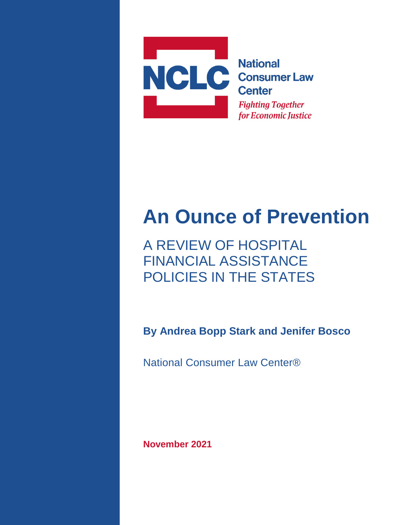

# **An Ounce of Prevention**

A REVIEW OF HOSPITAL FINANCIAL ASSISTANCE POLICIES IN THE STATES

**By Andrea Bopp Stark and Jenifer Bosco**

National Consumer Law Center®

**November 2021**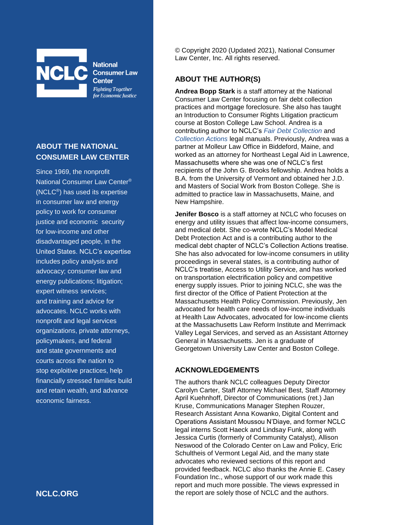

**National Consumer Law Center Fighting Together** for Economic Justice

#### **ABOUT THE NATIONAL CONSUMER LAW CENTER**

Since 1969, the nonprofit National Consumer Law Center® (NCLC®) has used its expertise in consumer law and energy policy to work for consumer justice and economic security for low-income and other disadvantaged people, in the United States. NCLC's expertise includes policy analysis and advocacy; consumer law and energy publications; litigation; expert witness services; and training and advice for advocates. NCLC works with nonprofit and legal services organizations, private attorneys, policymakers, and federal and state governments and courts across the nation to stop exploitive practices, help financially stressed families build and retain wealth, and advance economic fairness.

**NCLC.ORG**

© Copyright 2020 (Updated 2021), National Consumer Law Center, Inc. All rights reserved.

#### **ABOUT THE AUTHOR(S)**

**Andrea Bopp Stark** is a staff attorney at the National Consumer Law Center focusing on fair debt collection practices and mortgage foreclosure. She also has taught an Introduction to Consumer Rights Litigation practicum course at Boston College Law School. Andrea is a contributing author to NCLC's *[Fair Debt Collection](https://library.nclc.org/fdc)* and *[Collection Actions](https://library.nclc.org/fdc)* legal manuals. Previously, Andrea was a partner at Molleur Law Office in Biddeford, Maine, and worked as an attorney for Northeast Legal Aid in Lawrence, Massachusetts where she was one of NCLC's first recipients of the John G. Brooks fellowship. Andrea holds a B.A. from the University of Vermont and obtained her J.D. and Masters of Social Work from Boston College. She is admitted to practice law in Massachusetts, Maine, and New Hampshire.

**Jenifer Bosco** is a staff attorney at NCLC who focuses on energy and utility issues that affect low-income consumers, and medical debt. She co-wrote NCLC's Model Medical Debt Protection Act and is a contributing author to the medical debt chapter of NCLC's Collection Actions treatise. She has also advocated for low-income consumers in utility proceedings in several states, is a contributing author of NCLC's treatise, Access to Utility Service, and has worked on transportation electrification policy and competitive energy supply issues. Prior to joining NCLC, she was the first director of the Office of Patient Protection at the Massachusetts Health Policy Commission. Previously, Jen advocated for health care needs of low-income individuals at Health Law Advocates, advocated for low-income clients at the Massachusetts Law Reform Institute and Merrimack Valley Legal Services, and served as an Assistant Attorney General in Massachusetts. Jen is a graduate of Georgetown University Law Center and Boston College.

#### **ACKNOWLEDGEMENTS**

The authors thank NCLC colleagues Deputy Director Carolyn Carter, Staff Attorney Michael Best, Staff Attorney April Kuehnhoff, Director of Communications (ret.) Jan Kruse, Communications Manager Stephen Rouzer, Research Assistant Anna Kowanko, Digital Content and Operations Assistant Moussou N'Diaye, and former NCLC legal interns Scott Haeck and Lindsay Funk, along with Jessica Curtis (formerly of Community Catalyst), Allison Neswood of the Colorado Center on Law and Policy, Eric Schultheis of Vermont Legal Aid, and the many state advocates who reviewed sections of this report and provided feedback. NCLC also thanks the Annie E. Casey Foundation Inc., whose support of our work made this report and much more possible. The views expressed in the report are solely those of NCLC and the authors.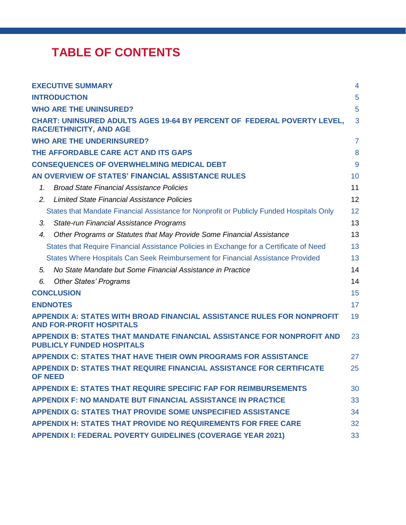# **TABLE OF CONTENTS**

|    | <b>EXECUTIVE SUMMARY</b>                                                                                         | $\overline{4}$ |
|----|------------------------------------------------------------------------------------------------------------------|----------------|
|    | <b>INTRODUCTION</b>                                                                                              | 5              |
|    | <b>WHO ARE THE UNINSURED?</b>                                                                                    | 5              |
|    | <b>CHART: UNINSURED ADULTS AGES 19-64 BY PERCENT OF FEDERAL POVERTY LEVEL,</b><br><b>RACE/ETHNICITY, AND AGE</b> | 3              |
|    | <b>WHO ARE THE UNDERINSURED?</b>                                                                                 | $\overline{7}$ |
|    | THE AFFORDABLE CARE ACT AND ITS GAPS                                                                             | 8              |
|    | <b>CONSEQUENCES OF OVERWHELMING MEDICAL DEBT</b>                                                                 | 9              |
|    | AN OVERVIEW OF STATES' FINANCIAL ASSISTANCE RULES                                                                | 10             |
| 1. | <b>Broad State Financial Assistance Policies</b>                                                                 | 11             |
| 2. | <b>Limited State Financial Assistance Policies</b>                                                               | 12             |
|    | States that Mandate Financial Assistance for Nonprofit or Publicly Funded Hospitals Only                         | 12             |
| 3. | State-run Financial Assistance Programs                                                                          | 13             |
| 4. | Other Programs or Statutes that May Provide Some Financial Assistance                                            | 13             |
|    | States that Require Financial Assistance Policies in Exchange for a Certificate of Need                          | 13             |
|    | States Where Hospitals Can Seek Reimbursement for Financial Assistance Provided                                  | 13             |
| 5. | No State Mandate but Some Financial Assistance in Practice                                                       | 14             |
| 6. | <b>Other States' Programs</b>                                                                                    | 14             |
|    | <b>CONCLUSION</b>                                                                                                | 15             |
|    | <b>ENDNOTES</b>                                                                                                  | 17             |
|    | APPENDIX A: STATES WITH BROAD FINANCIAL ASSISTANCE RULES FOR NONPROFIT<br><b>AND FOR-PROFIT HOSPITALS</b>        | 19             |
|    | APPENDIX B: STATES THAT MANDATE FINANCIAL ASSISTANCE FOR NONPROFIT AND<br><b>PUBLICLY FUNDED HOSPITALS</b>       | 23             |
|    | <b>APPENDIX C: STATES THAT HAVE THEIR OWN PROGRAMS FOR ASSISTANCE</b>                                            | 27             |
|    | <b>APPENDIX D: STATES THAT REQUIRE FINANCIAL ASSISTANCE FOR CERTIFICATE</b><br><b>OF NEED</b>                    | 25             |
|    | <b>APPENDIX E: STATES THAT REQUIRE SPECIFIC FAP FOR REIMBURSEMENTS</b>                                           | 30             |
|    | <b>APPENDIX F: NO MANDATE BUT FINANCIAL ASSISTANCE IN PRACTICE</b>                                               | 33             |
|    | APPENDIX G: STATES THAT PROVIDE SOME UNSPECIFIED ASSISTANCE                                                      | 34             |
|    | <b>APPENDIX H: STATES THAT PROVIDE NO REQUIREMENTS FOR FREE CARE</b>                                             | 32             |
|    | <b>APPENDIX I: FEDERAL POVERTY GUIDELINES (COVERAGE YEAR 2021)</b>                                               | 33             |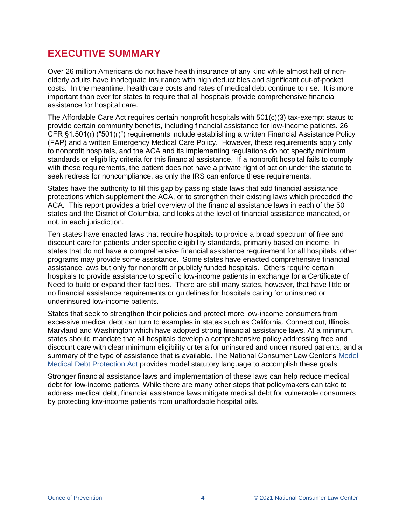### <span id="page-3-0"></span>**EXECUTIVE SUMMARY**

Over 26 million Americans do not have health insurance of any kind while almost half of nonelderly adults have inadequate insurance with high deductibles and significant out-of-pocket costs. In the meantime, health care costs and rates of medical debt continue to rise. It is more important than ever for states to require that all hospitals provide comprehensive financial assistance for hospital care.

The Affordable Care Act requires certain nonprofit hospitals with 501(c)(3) tax-exempt status to provide certain community benefits, including financial assistance for low-income patients. 26 CFR §1.501(r) ("501(r)") requirements include establishing a written Financial Assistance Policy (FAP) and a written Emergency Medical Care Policy. However, these requirements apply only to nonprofit hospitals, and the ACA and its implementing regulations do not specify minimum standards or eligibility criteria for this financial assistance. If a nonprofit hospital fails to comply with these requirements, the patient does not have a private right of action under the statute to seek redress for noncompliance, as only the IRS can enforce these requirements.

States have the authority to fill this gap by passing state laws that add financial assistance protections which supplement the ACA, or to strengthen their existing laws which preceded the ACA. This report provides a brief overview of the financial assistance laws in each of the 50 states and the District of Columbia, and looks at the level of financial assistance mandated, or not, in each jurisdiction.

Ten states have enacted laws that require hospitals to provide a broad spectrum of free and discount care for patients under specific eligibility standards, primarily based on income. In states that do not have a comprehensive financial assistance requirement for all hospitals, other programs may provide some assistance. Some states have enacted comprehensive financial assistance laws but only for nonprofit or publicly funded hospitals. Others require certain hospitals to provide assistance to specific low-income patients in exchange for a Certificate of Need to build or expand their facilities. There are still many states, however, that have little or no financial assistance requirements or guidelines for hospitals caring for uninsured or underinsured low-income patients.

States that seek to strengthen their policies and protect more low-income consumers from excessive medical debt can turn to examples in states such as California, Connecticut, Illinois, Maryland and Washington which have adopted strong financial assistance laws. At a minimum, states should mandate that all hospitals develop a comprehensive policy addressing free and discount care with clear minimum eligibility criteria for uninsured and underinsured patients, and a summary of the type of assistance that is available. The National Consumer Law Center's [Model](http://bit.ly/2gjIGb6)  [Medical Debt Protection Act](http://bit.ly/2gjIGb6) provides model statutory language to accomplish these goals.

Stronger financial assistance laws and implementation of these laws can help reduce medical debt for low-income patients. While there are many other steps that policymakers can take to address medical debt, financial assistance laws mitigate medical debt for vulnerable consumers by protecting low-income patients from unaffordable hospital bills.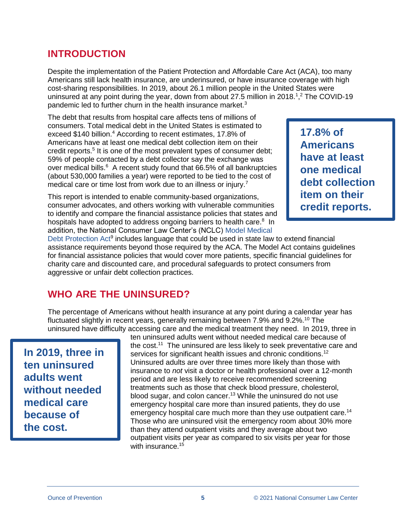### <span id="page-4-0"></span>**INTRODUCTION**

Despite the implementation of the Patient Protection and Affordable Care Act (ACA), too many Americans still lack health insurance, are underinsured, or have insurance coverage with high cost-sharing responsibilities. In 2019, about 26.1 million people in the United States were uninsured at any point during the year, down from about 27.5 million in 2018.<sup>1</sup>,<sup>2</sup> The COVID-19 pandemic led to further churn in the health insurance market.<sup>3</sup>

The debt that results from hospital care affects tens of millions of consumers. Total medical debt in the United States is estimated to exceed \$140 billion.<sup>4</sup> According to recent estimates, 17.8% of Americans have at least one medical debt collection item on their credit reports.<sup>5</sup> It is one of the most prevalent types of consumer debt; 59% of people contacted by a debt collector say the exchange was over medical bills. $6$  A recent study found that 66.5% of all bankruptcies (about 530,000 families a year) were reported to be tied to the cost of medical care or time lost from work due to an illness or injury.<sup>7</sup>

This report is intended to enable community-based organizations, consumer advocates, and others working with vulnerable communities to identify and compare the financial assistance policies that states and hospitals have adopted to address ongoing barriers to health care.<sup>8</sup> In addition, the National Consumer Law Center's (NCLC) [Model Medical](http://bit.ly/2gjIGb6) 

**17.8% of Americans have at least one medical debt collection item on their credit reports.**

[Debt Protection Act](http://bit.ly/2gjIGb6)<sup>9</sup> includes language that could be used in state law to extend financial assistance requirements beyond those required by the ACA. The Model Act contains guidelines for financial assistance policies that would cover more patients, specific financial guidelines for charity care and discounted care, and procedural safeguards to protect consumers from aggressive or unfair debt collection practices.

### <span id="page-4-1"></span>**WHO ARE THE UNINSURED?**

The percentage of Americans without health insurance at any point during a calendar year has fluctuated slightly in recent years, generally remaining between 7.9% and 9.2%.<sup>10</sup> The uninsured have difficulty accessing care and the medical treatment they need. In 2019, three in

**In 2019, three in ten uninsured adults went without needed medical care because of the cost.**

ten uninsured adults went without needed medical care because of the cost.<sup>11</sup> The uninsured are less likely to seek preventative care and services for significant health issues and chronic conditions.<sup>12</sup> Uninsured adults are over three times more likely than those with insurance to *not* visit a doctor or health professional over a 12-month period and are less likely to receive recommended screening treatments such as those that check blood pressure, cholesterol, blood sugar, and colon cancer.<sup>13</sup> While the uninsured do not use emergency hospital care more than insured patients, they do use emergency hospital care much more than they use outpatient care.<sup>14</sup> Those who are uninsured visit the emergency room about 30% more than they attend outpatient visits and they average about two outpatient visits per year as compared to six visits per year for those with insurance.<sup>15</sup>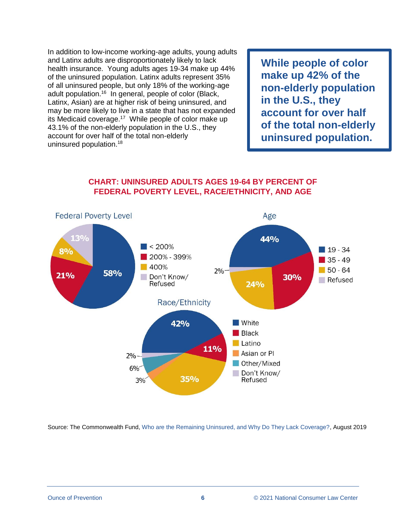In addition to low-income working-age adults, young adults and Latinx adults are disproportionately likely to lack health insurance. Young adults ages 19-34 make up 44% of the uninsured population. Latinx adults represent 35% of all uninsured people, but only 18% of the working-age adult population.<sup>16</sup> In general, people of color (Black, Latinx, Asian) are at higher risk of being uninsured, and may be more likely to live in a state that has not expanded its Medicaid coverage.<sup>17</sup> While people of color make up 43.1% of the non-elderly population in the U.S., they account for over half of the total non-elderly uninsured population.<sup>18</sup>

**While people of color make up 42% of the non-elderly population in the U.S., they account for over half of the total non-elderly uninsured population.**

#### **CHART: UNINSURED ADULTS AGES 19-64 BY PERCENT OF FEDERAL POVERTY LEVEL, RACE/ETHNICITY, AND AGE**

<span id="page-5-0"></span>

Source: The Commonwealth Fund, [Who are the Remaining Uninsured, and Why Do They Lack Coverage?,](https://www.commonwealthfund.org/publications/issue-briefs/2019/aug/who-are-remaining-uninsured-and-why-do-they-lack-coverage?redirect_source=/publications/2019/aug/who-are-remaining-uninsured-and-why-do-they-lack-coverage) August 2019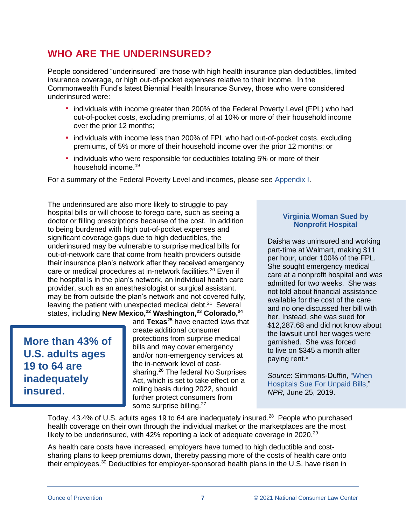### <span id="page-6-0"></span>**WHO ARE THE UNDERINSURED?**

People considered "underinsured" are those with high health insurance plan deductibles, limited insurance coverage, or high out-of-pocket expenses relative to their income. In the Commonwealth Fund's latest Biennial Health Insurance Survey, those who were considered underinsured were:

- individuals with income greater than 200% of the Federal Poverty Level (FPL) who had out-of-pocket costs, excluding premiums, of at 10% or more of their household income over the prior 12 months;
- **·** individuals with income less than 200% of FPL who had out-of-pocket costs, excluding premiums, of 5% or more of their household income over the prior 12 months; or
- individuals who were responsible for deductibles totaling 5% or more of their household income.<sup>19</sup>

For a summary of the Federal Poverty Level and incomes, please see [Appendix I.](#page-36-0)

The underinsured are also more likely to struggle to pay hospital bills or will choose to forego care, such as seeing a doctor or filling prescriptions because of the cost. In addition to being burdened with high out-of-pocket expenses and significant coverage gaps due to high deductibles, the underinsured may be vulnerable to surprise medical bills for out-of-network care that come from health providers outside their insurance plan's network after they received emergency care or medical procedures at in-network facilities.<sup>20</sup> Even if the hospital is in the plan's network, an individual health care provider, such as an anesthesiologist or surgical assistant, may be from outside the plan's network and not covered fully, leaving the patient with unexpected medical debt. $21$  Several states, including **New Mexico,<sup>22</sup> Washington,<sup>23</sup> Colorado,<sup>24</sup>**

**More than 43% of U.S. adults ages 19 to 64 are inadequately insured.**

and **Texas<sup>25</sup>** have enacted laws that create additional consumer protections from surprise medical bills and may cover emergency and/or non-emergency services at the in-network level of costsharing.<sup>26</sup> The federal No Surprises Act, which is set to take effect on a rolling basis during 2022, should further protect consumers from some surprise billing.<sup>27</sup>

#### **Virginia Woman Sued by Nonprofit Hospital**

Daisha was uninsured and working part-time at Walmart, making \$11 per hour, under 100% of the FPL. She sought emergency medical care at a nonprofit hospital and was admitted for two weeks. She was not told about financial assistance available for the cost of the care and no one discussed her bill with her. Instead, she was sued for \$12,287.68 and did not know about the lawsuit until her wages were garnished. She was forced to live on \$345 a month after paying rent.\*

*Source*: Simmons-Duffin, ["When](https://www.kut.org/post/hospitals-earn-little-suing-unpaid-bills-patients-it-can-be-ruinous)  [Hospitals Sue For Unpaid Bills,](https://www.kut.org/post/hospitals-earn-little-suing-unpaid-bills-patients-it-can-be-ruinous)" *NPR,* June 25, 2019.

Today, 43.4% of U.S. adults ages 19 to 64 are inadequately insured.<sup>28</sup> People who purchased health coverage on their own through the individual market or the marketplaces are the most likely to be underinsured, with  $42\%$  reporting a lack of adequate coverage in 2020.<sup>29</sup>

As health care costs have increased, employers have turned to high deductible and costsharing plans to keep premiums down, thereby passing more of the costs of health care onto their employees.<sup>30</sup> Deductibles for employer-sponsored health plans in the U.S. have risen in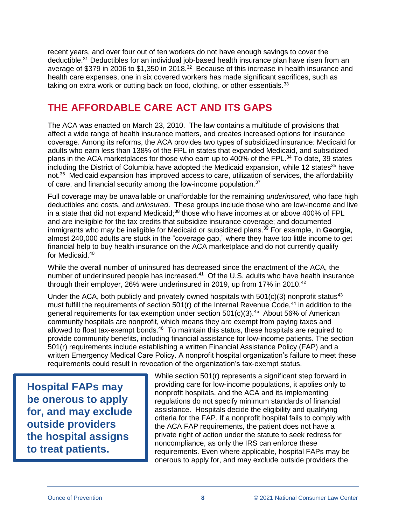recent years, and over four out of ten workers do not have enough savings to cover the deductible.<sup>31</sup> Deductibles for an individual job-based health insurance plan have risen from an average of \$379 in 2006 to \$1,350 in 2018.<sup>32</sup> Because of this increase in health insurance and health care expenses, one in six covered workers has made significant sacrifices, such as taking on extra work or cutting back on food, clothing, or other essentials. $33$ 

### <span id="page-7-0"></span>**THE AFFORDABLE CARE ACT AND ITS GAPS**

The ACA was enacted on March 23, 2010. The law contains a multitude of provisions that affect a wide range of health insurance matters, and creates increased options for insurance coverage. Among its reforms, the ACA provides two types of subsidized insurance: Medicaid for adults who earn less than 138% of the FPL in states that expanded Medicaid, and subsidized plans in the ACA marketplaces for those who earn up to 400% of the FPL.<sup>34</sup> To date, 39 states including the District of Columbia have adopted the Medicaid expansion, while 12 states<sup>35</sup> have not.<sup>36</sup> Medicaid expansion has improved access to care, utilization of services, the affordability of care, and financial security among the low-income population.<sup>37</sup>

Full coverage may be unavailable or unaffordable for the remaining *underinsured,* who face high deductibles and costs, and *uninsured*. These groups include those who are low-income and live in a state that did not expand Medicaid;<sup>38</sup> those who have incomes at or above 400% of FPL and are ineligible for the tax credits that subsidize insurance coverage; and documented immigrants who may be ineligible for Medicaid or subsidized plans.<sup>39</sup> For example, in **Georgia**, almost 240,000 adults are stuck in the "coverage gap," where they have too little income to get financial help to buy health insurance on the ACA marketplace and do not currently qualify for Medicaid.<sup>40</sup>

While the overall number of uninsured has decreased since the enactment of the ACA, the number of underinsured people has increased.<sup>41</sup> Of the U.S. adults who have health insurance through their employer, 26% were underinsured in 2019, up from 17% in 2010.<sup>42</sup>

Under the ACA, both publicly and privately owned hospitals with  $501(c)(3)$  nonprofit status<sup>43</sup> must fulfill the requirements of section  $501(r)$  of the Internal Revenue Code,<sup>44</sup> in addition to the general requirements for tax exemption under section  $501(c)(3)$ .<sup>45</sup> About 56% of American community hospitals are nonprofit, which means they are exempt from paying taxes and allowed to float tax-exempt bonds.<sup>46</sup> To maintain this status, these hospitals are required to provide community benefits, including financial assistance for low-income patients. The section 501(r) requirements include establishing a written Financial Assistance Policy (FAP) and a written Emergency Medical Care Policy. A nonprofit hospital organization's failure to meet these requirements could result in revocation of the organization's tax-exempt status.

**Hospital FAPs may be onerous to apply for, and may exclude outside providers the hospital assigns to treat patients.**

While section 501(r) represents a significant step forward in providing care for low-income populations, it applies only to nonprofit hospitals, and the ACA and its implementing regulations do not specify minimum standards of financial assistance. Hospitals decide the eligibility and qualifying criteria for the FAP. If a nonprofit hospital fails to comply with the ACA FAP requirements, the patient does not have a private right of action under the statute to seek redress for noncompliance, as only the IRS can enforce these requirements. Even where applicable, hospital FAPs may be onerous to apply for, and may exclude outside providers the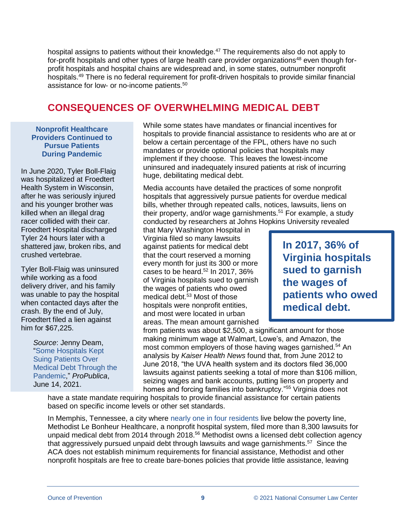hospital assigns to patients without their knowledge.<sup>47</sup> The requirements also do not apply to for-profit hospitals and other types of large health care provider organizations<sup>48</sup> even though forprofit hospitals and hospital chains are widespread and, in some states, outnumber nonprofit hospitals.<sup>49</sup> There is no federal requirement for profit-driven hospitals to provide similar financial assistance for low- or no-income patients.<sup>50</sup>

### <span id="page-8-0"></span>**CONSEQUENCES OF OVERWHELMING MEDICAL DEBT**

**Nonprofit Healthcare Providers Continued to Pursue Patients During Pandemic**

In June 2020, Tyler Boll-Flaig was hospitalized at Froedtert Health System in Wisconsin, after he was seriously injured and his younger brother was killed when an illegal drag racer collided with their car. Froedtert Hospital discharged Tyler 24 hours later with a shattered jaw, broken ribs, and crushed vertebrae.

Tyler Boll-Flaig was uninsured while working as a food delivery driver, and his family was unable to pay the hospital when contacted days after the crash. By the end of July, Froedtert filed a lien against him for \$67,225.

> *Source*: Jenny Deam, ["Some Hospitals Kept](https://www.propublica.org/article/some-hospitals-kept-suing-patients-over-medical-debt-through-the-pandemic)  [Suing Patients Over](https://www.propublica.org/article/some-hospitals-kept-suing-patients-over-medical-debt-through-the-pandemic)  [Medical Debt Through the](https://www.propublica.org/article/some-hospitals-kept-suing-patients-over-medical-debt-through-the-pandemic)  [Pandemic,](https://www.propublica.org/article/some-hospitals-kept-suing-patients-over-medical-debt-through-the-pandemic)" *ProPublica*, June 14, 2021.

While some states have mandates or financial incentives for hospitals to provide financial assistance to residents who are at or below a certain percentage of the FPL, others have no such mandates or provide optional policies that hospitals may implement if they choose. This leaves the lowest-income uninsured and inadequately insured patients at risk of incurring huge, debilitating medical debt.

Media accounts have detailed the practices of some nonprofit hospitals that aggressively pursue patients for overdue medical bills, whether through repeated calls, notices, lawsuits, liens on their property, and/or wage garnishments.<sup>51</sup> For example, a study conducted by researchers at Johns Hopkins University revealed

that Mary Washington Hospital in Virginia filed so many lawsuits against patients for medical debt that the court reserved a morning every month for just its 300 or more cases to be heard. $52$  In 2017, 36% of Virginia hospitals sued to garnish the wages of patients who owed medical debt.<sup>53</sup> Most of those hospitals were nonprofit entities, and most were located in urban areas. The mean amount garnished

**In 2017, 36% of Virginia hospitals sued to garnish the wages of patients who owed medical debt.**

from patients was about \$2,500, a significant amount for those making minimum wage at Walmart, Lowe's, and Amazon, the most common employers of those having wages garnished.<sup>54</sup> An analysis by *Kaiser Health News* found that, from June 2012 to June 2018, "the UVA health system and its doctors filed 36,000 lawsuits against patients seeking a total of more than \$106 million, seizing wages and bank accounts, putting liens on property and homes and forcing families into bankruptcy."<sup>55</sup> Virginia does not

have a state mandate requiring hospitals to provide financial assistance for certain patients based on specific income levels or other set standards.

In Memphis, Tennessee, a city where [nearly one in four residents](https://www.memphis.edu/socialwork/research/2018povertyfactsheet.docx) live below the poverty line, Methodist Le Bonheur Healthcare, a nonprofit hospital system, filed more than 8,300 lawsuits for unpaid medical debt from 2014 through 2018.<sup>56</sup> Methodist owns a licensed debt collection agency that aggressively pursued unpaid debt through lawsuits and wage garnishments.<sup>57</sup> Since the ACA does not establish minimum requirements for financial assistance, Methodist and other nonprofit hospitals are free to create bare-bones policies that provide little assistance, leaving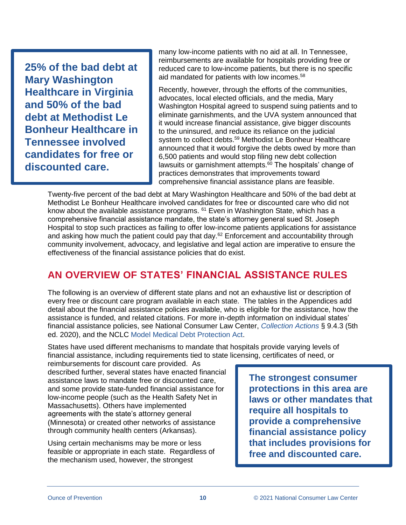**25% of the bad debt at Mary Washington Healthcare in Virginia and 50% of the bad debt at Methodist Le Bonheur Healthcare in Tennessee involved candidates for free or discounted care.**

many low-income patients with no aid at all. In Tennessee, reimbursements are available for hospitals providing free or reduced care to low-income patients, but there is no specific aid mandated for patients with low incomes.<sup>58</sup>

Recently, however, through the efforts of the communities, advocates, local elected officials, and the media, Mary Washington Hospital agreed to suspend suing patients and to eliminate garnishments, and the UVA system announced that it would increase financial assistance, give bigger discounts to the uninsured, and reduce its reliance on the judicial system to collect debts.<sup>59</sup> Methodist Le Bonheur Healthcare announced that it would forgive the debts owed by more than 6,500 patients and would stop filing new debt collection lawsuits or garnishment attempts.<sup>60</sup> The hospitals' change of practices demonstrates that improvements toward comprehensive financial assistance plans are feasible.

Twenty-five percent of the bad debt at Mary Washington Healthcare and 50% of the bad debt at Methodist Le Bonheur Healthcare involved candidates for free or discounted care who did not know about the available assistance programs. <sup>61</sup> Even in Washington State, which has a comprehensive financial assistance mandate, the state's attorney general sued St. Joseph Hospital to stop such practices as failing to offer low-income patients applications for assistance and asking how much the patient could pay that day.<sup>62</sup> Enforcement and accountability through community involvement, advocacy, and legislative and legal action are imperative to ensure the effectiveness of the financial assistance policies that do exist.

### <span id="page-9-0"></span>**AN OVERVIEW OF STATES' FINANCIAL ASSISTANCE RULES**

The following is an overview of different state plans and not an exhaustive list or description of every free or discount care program available in each state. The tables in the Appendices add detail about the financial assistance policies available, who is eligible for the assistance, how the assistance is funded, and related citations. For more in-depth information on individual states' financial assistance policies, see National Consumer Law Center, *[Collection Actions](https://library.nclc.org/nclc/link/CA.09.04.03.01)* § 9.4.3 (5th ed. 2020), and the [NCLC Model Medical Debt Protection Act.](http://bit.ly/2gjIGb6)

States have used different mechanisms to mandate that hospitals provide varying levels of financial assistance, including requirements tied to state licensing, certificates of need, or

reimbursements for discount care provided. As described further, several states have enacted financial assistance laws to mandate free or discounted care, and some provide state-funded financial assistance for low-income people (such as the Health Safety Net in Massachusetts). Others have implemented agreements with the state's attorney general (Minnesota) or created other networks of assistance through community health centers (Arkansas).

Using certain mechanisms may be more or less feasible or appropriate in each state. Regardless of the mechanism used, however, the strongest

**The strongest consumer protections in this area are laws or other mandates that require all hospitals to provide a comprehensive financial assistance policy that includes provisions for free and discounted care.**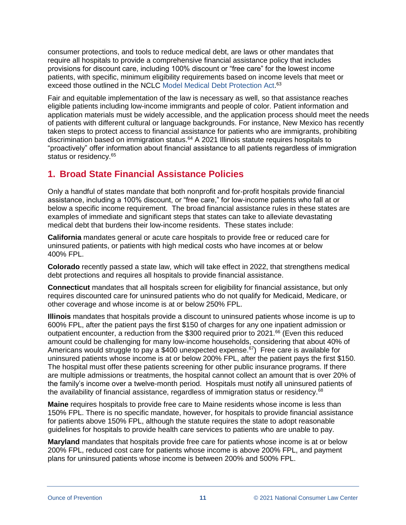consumer protections, and tools to reduce medical debt, are laws or other mandates that require all hospitals to provide a comprehensive financial assistance policy that includes provisions for discount care, including 100% discount or "free care" for the lowest income patients, with specific, minimum eligibility requirements based on income levels that meet or exceed those outlined in the NCLC [Model Medical Debt Protection Act.](http://bit.ly/2gjIGb6)<sup>63</sup>

Fair and equitable implementation of the law is necessary as well, so that assistance reaches eligible patients including low-income immigrants and people of color. Patient information and application materials must be widely accessible, and the application process should meet the needs of patients with different cultural or language backgrounds. For instance, New Mexico has recently taken steps to protect access to financial assistance for patients who are immigrants, prohibiting discrimination based on immigration status.<sup>64</sup> A 2021 Illinois statute requires hospitals to "proactively" offer information about financial assistance to all patients regardless of immigration status or residency.<sup>65</sup>

### <span id="page-10-0"></span>**1. Broad State Financial Assistance Policies**

Only a handful of states mandate that both nonprofit and for-profit hospitals provide financial assistance, including a 100% discount, or "free care," for low-income patients who fall at or below a specific income requirement. The broad financial assistance rules in these states are examples of immediate and significant steps that states can take to alleviate devastating medical debt that burdens their low-income residents. These states include:

**California** mandates general or acute care hospitals to provide free or reduced care for uninsured patients, or patients with high medical costs who have incomes at or below 400% FPL.

**Colorado** recently passed a state law, which will take effect in 2022, that strengthens medical debt protections and requires all hospitals to provide financial assistance.

**Connecticut** mandates that all hospitals screen for eligibility for financial assistance, but only requires discounted care for uninsured patients who do not qualify for Medicaid, Medicare, or other coverage and whose income is at or below 250% FPL.

**Illinois** mandates that hospitals provide a discount to uninsured patients whose income is up to 600% FPL, after the patient pays the first \$150 of charges for any one inpatient admission or outpatient encounter, a reduction from the \$300 required prior to 2021.<sup>66</sup> (Even this reduced amount could be challenging for many low-income households, considering that about 40% of Americans would struggle to pay a \$400 unexpected expense.<sup>67</sup>) Free care is available for uninsured patients whose income is at or below 200% FPL, after the patient pays the first \$150. The hospital must offer these patients screening for other public insurance programs. If there are multiple admissions or treatments, the hospital cannot collect an amount that is over 20% of the family's income over a twelve-month period. Hospitals must notify all uninsured patients of the availability of financial assistance, regardless of immigration status or residency.<sup>68</sup>

**Maine** requires hospitals to provide free care to Maine residents whose income is less than 150% FPL. There is no specific mandate, however, for hospitals to provide financial assistance for patients above 150% FPL, although the statute requires the state to adopt reasonable guidelines for hospitals to provide health care services to patients who are unable to pay.

**Maryland** mandates that hospitals provide free care for patients whose income is at or below 200% FPL, reduced cost care for patients whose income is above 200% FPL, and payment plans for uninsured patients whose income is between 200% and 500% FPL.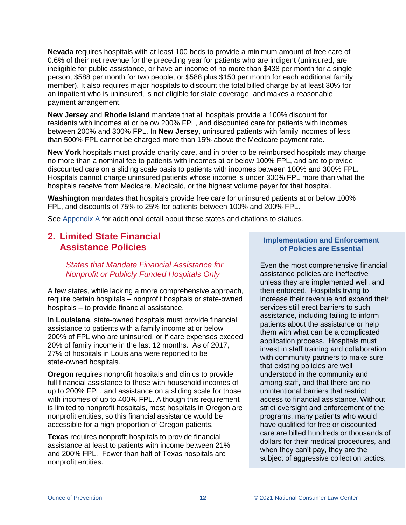**Nevada** requires hospitals with at least 100 beds to provide a minimum amount of free care of 0.6% of their net revenue for the preceding year for patients who are indigent (uninsured, are ineligible for public assistance, or have an income of no more than \$438 per month for a single person, \$588 per month for two people, or \$588 plus \$150 per month for each additional family member). It also requires major hospitals to discount the total billed charge by at least 30% for an inpatient who is uninsured, is not eligible for state coverage, and makes a reasonable payment arrangement.

**New Jersey** and **Rhode Island** mandate that all hospitals provide a 100% discount for residents with incomes at or below 200% FPL, and discounted care for patients with incomes between 200% and 300% FPL. In **New Jersey**, uninsured patients with family incomes of less than 500% FPL cannot be charged more than 15% above the Medicare payment rate.

**New York** hospitals must provide charity care, and in order to be reimbursed hospitals may charge no more than a nominal fee to patients with incomes at or below 100% FPL, and are to provide discounted care on a sliding scale basis to patients with incomes between 100% and 300% FPL. Hospitals cannot charge uninsured patients whose income is under 300% FPL more than what the hospitals receive from Medicare, Medicaid, or the highest volume payer for that hospital.

**Washington** mandates that hospitals provide free care for uninsured patients at or below 100% FPL, and discounts of 75% to 25% for patients between 100% and 200% FPL.

See [Appendix A](#page-21-0) for additional detail about these states and citations to statues.

#### <span id="page-11-0"></span>**2. Limited State Financial Assistance Policies**

<span id="page-11-1"></span>*States that Mandate Financial Assistance for Nonprofit or Publicly Funded Hospitals Only*

A few states, while lacking a more comprehensive approach, require certain hospitals – nonprofit hospitals or state-owned hospitals – to provide financial assistance.

In **Louisiana**, state-owned hospitals must provide financial assistance to patients with a family income at or below 200% of FPL who are uninsured, or if care expenses exceed 20% of family income in the last 12 months. As of 2017, 27% of hospitals in Louisiana were reported to be state-owned hospitals.

**Oregon** requires nonprofit hospitals and clinics to provide full financial assistance to those with household incomes of up to 200% FPL, and assistance on a sliding scale for those with incomes of up to 400% FPL. Although this requirement is limited to nonprofit hospitals, most hospitals in Oregon are nonprofit entities, so this financial assistance would be accessible for a high proportion of Oregon patients.

**Texas** requires nonprofit hospitals to provide financial assistance at least to patients with income between 21% and 200% FPL. Fewer than half of Texas hospitals are nonprofit entities.

#### **Implementation and Enforcement of Policies are Essential**

Even the most comprehensive financial assistance policies are ineffective unless they are implemented well, and then enforced. Hospitals trying to increase their revenue and expand their services still erect barriers to such assistance, including failing to inform patients about the assistance or help them with what can be a complicated application process. Hospitals must invest in staff training and collaboration with community partners to make sure that existing policies are well understood in the community and among staff, and that there are no unintentional barriers that restrict access to financial assistance. Without strict oversight and enforcement of the programs, many patients who would have qualified for free or discounted care are billed hundreds or thousands of dollars for their medical procedures, and when they can't pay, they are the subject of aggressive collection tactics.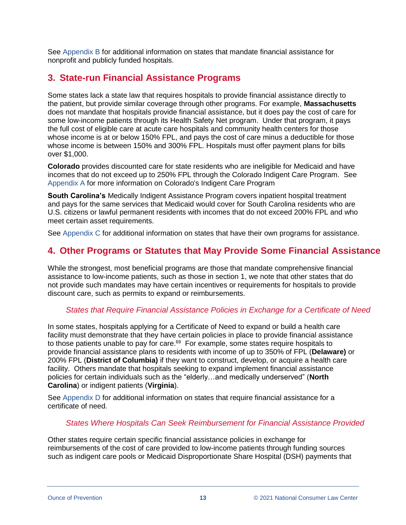See [Appendix B](#page-25-0) for additional information on states that mandate financial assistance for nonprofit and publicly funded hospitals.

#### <span id="page-12-0"></span>**3. State-run Financial Assistance Programs**

Some states lack a state law that requires hospitals to provide financial assistance directly to the patient, but provide similar coverage through other programs. For example, **Massachusetts** does not mandate that hospitals provide financial assistance, but it does pay the cost of care for some low-income patients through its Health Safety Net program. Under that program, it pays the full cost of eligible care at acute care hospitals and community health centers for those whose income is at or below 150% FPL, and pays the cost of care minus a deductible for those whose income is between 150% and 300% FPL. Hospitals must offer payment plans for bills over \$1,000.

**Colorado** provides discounted care for state residents who are ineligible for Medicaid and have incomes that do not exceed up to 250% FPL through the Colorado Indigent Care Program. See [Appendix A](#page-21-0) for more information on Colorado's Indigent Care Program

**South Carolina's** Medically Indigent Assistance Program covers inpatient hospital treatment and pays for the same services that Medicaid would cover for South Carolina residents who are U.S. citizens or lawful permanent residents with incomes that do not exceed 200% FPL and who meet certain asset requirements.

See [Appendix C](#page-26-1) for additional information on states that have their own programs for assistance.

### <span id="page-12-1"></span>**4. Other Programs or Statutes that May Provide Some Financial Assistance**

While the strongest, most beneficial programs are those that mandate comprehensive financial assistance to low-income patients, such as those in section 1, we note that other states that do not provide such mandates may have certain incentives or requirements for hospitals to provide discount care, such as permits to expand or reimbursements.

#### <span id="page-12-2"></span>*States that Require Financial Assistance Policies in Exchange for a Certificate of Need*

In some states, hospitals applying for a Certificate of Need to expand or build a health care facility must demonstrate that they have certain policies in place to provide financial assistance to those patients unable to pay for care. $^{69}$  For example, some states require hospitals to provide financial assistance plans to residents with income of up to 350% of FPL (**Delaware)** or 200% FPL (**District of Columbia)** if they want to construct, develop, or acquire a health care facility. Others mandate that hospitals seeking to expand implement financial assistance policies for certain individuals such as the "elderly…and medically underserved" (**North Carolina**) or indigent patients (**Virginia**).

<span id="page-12-3"></span>See [Appendix D](#page-27-0) for additional information on states that require financial assistance for a certificate of need.

#### *States Where Hospitals Can Seek Reimbursement for Financial Assistance Provided*

Other states require certain specific financial assistance policies in exchange for reimbursements of the cost of care provided to low-income patients through funding sources such as indigent care pools or Medicaid Disproportionate Share Hospital (DSH) payments that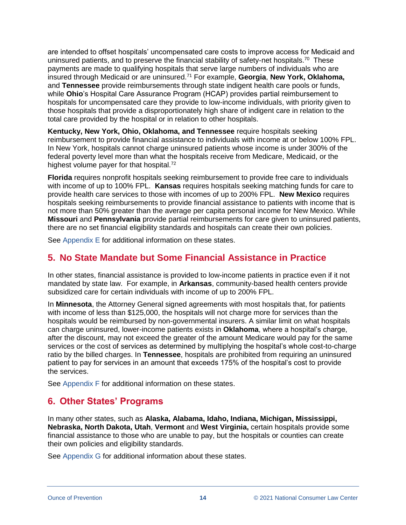are intended to offset hospitals' uncompensated care costs to improve access for Medicaid and uninsured patients, and to preserve the financial stability of safety-net hospitals.<sup>70</sup> These payments are made to qualifying hospitals that serve large numbers of individuals who are insured through Medicaid or are uninsured.<sup>71</sup> For example, **Georgia**, **New York, Oklahoma,** and **Tennessee** provide reimbursements through state indigent health care pools or funds, while **Ohio**'s Hospital Care Assurance Program (HCAP) provides partial reimbursement to hospitals for uncompensated care they provide to low-income individuals, with priority given to those hospitals that provide a disproportionately high share of indigent care in relation to the total care provided by the hospital or in relation to other hospitals.

**Kentucky, New York, Ohio, Oklahoma, and Tennessee** require hospitals seeking reimbursement to provide financial assistance to individuals with income at or below 100% FPL. In New York, hospitals cannot charge uninsured patients whose income is under 300% of the federal poverty level more than what the hospitals receive from Medicare, Medicaid, or the highest volume payer for that hospital.<sup>72</sup>

**Florida** requires nonprofit hospitals seeking reimbursement to provide free care to individuals with income of up to 100% FPL. **Kansas** requires hospitals seeking matching funds for care to provide health care services to those with incomes of up to 200% FPL. **New Mexico** requires hospitals seeking reimbursements to provide financial assistance to patients with income that is not more than 50% greater than the average per capita personal income for New Mexico. While **Missouri** and **Pennsylvania** provide partial reimbursements for care given to uninsured patients, there are no set financial eligibility standards and hospitals can create their own policies.

See [Appendix E](#page-29-0) for additional information on these states.

### <span id="page-13-0"></span>**5. No State Mandate but Some Financial Assistance in Practice**

In other states, financial assistance is provided to low-income patients in practice even if it not mandated by state law. For example, in **Arkansas**, community-based health centers provide subsidized care for certain individuals with income of up to 200% FPL.

In **Minnesota**, the Attorney General signed agreements with most hospitals that, for patients with income of less than \$125,000, the hospitals will not charge more for services than the hospitals would be reimbursed by non-governmental insurers. A similar limit on what hospitals can charge uninsured, lower-income patients exists in **Oklahoma**, where a hospital's charge, after the discount, may not exceed the greater of the amount Medicare would pay for the same services or the cost of services as determined by multiplying the hospital's whole cost-to-charge ratio by the billed charges. In **Tennessee**, hospitals are prohibited from requiring an uninsured patient to pay for services in an amount that exceeds 175% of the hospital's cost to provide the services.

See [Appendix F](#page-32-0) for additional information on these states.

### <span id="page-13-1"></span>**6. Other States' Programs**

In many other states, such as **Alaska, Alabama, Idaho, Indiana, Michigan, Mississippi, Nebraska, North Dakota, Utah**, **Vermont** and **West Virginia,** certain hospitals provide some financial assistance to those who are unable to pay, but the hospitals or counties can create their own policies and eligibility standards.

See [Appendix G](#page-33-0) for additional information about these states.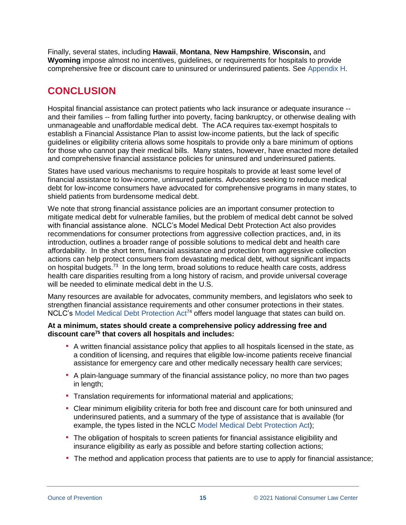Finally, several states, including **Hawaii**, **Montana**, **New Hampshire**, **Wisconsin,** and **Wyoming** impose almost no incentives, guidelines, or requirements for hospitals to provide comprehensive free or discount care to uninsured or underinsured patients. See [Appendix H.](#page-35-0)

### <span id="page-14-0"></span>**CONCLUSION**

Hospital financial assistance can protect patients who lack insurance or adequate insurance - and their families -- from falling further into poverty, facing bankruptcy, or otherwise dealing with unmanageable and unaffordable medical debt. The ACA requires tax-exempt hospitals to establish a Financial Assistance Plan to assist low-income patients, but the lack of specific guidelines or eligibility criteria allows some hospitals to provide only a bare minimum of options for those who cannot pay their medical bills. Many states, however, have enacted more detailed and comprehensive financial assistance policies for uninsured and underinsured patients.

States have used various mechanisms to require hospitals to provide at least some level of financial assistance to low-income, uninsured patients. Advocates seeking to reduce medical debt for low-income consumers have advocated for comprehensive programs in many states, to shield patients from burdensome medical debt.

We note that strong financial assistance policies are an important consumer protection to mitigate medical debt for vulnerable families, but the problem of medical debt cannot be solved with financial assistance alone. NCLC's Model Medical Debt Protection Act also provides recommendations for consumer protections from aggressive collection practices, and, in its introduction, outlines a broader range of possible solutions to medical debt and health care affordability. In the short term, financial assistance and protection from aggressive collection actions can help protect consumers from devastating medical debt, without significant impacts on hospital budgets.<sup>73</sup> In the long term, broad solutions to reduce health care costs, address health care disparities resulting from a long history of racism, and provide universal coverage will be needed to eliminate medical debt in the U.S.

Many resources are available for advocates, community members, and legislators who seek to strengthen financial assistance requirements and other consumer protections in their states. NCLC's [Model Medical Debt Protection Act](http://bit.ly/2gjIGb6)<sup>74</sup> offers model language that states can build on.

#### **At a minimum, states should create a comprehensive policy addressing free and discount care<sup>75</sup> that covers all hospitals and includes:**

- A written financial assistance policy that applies to all hospitals licensed in the state, as a condition of licensing, and requires that eligible low-income patients receive financial assistance for emergency care and other medically necessary health care services;
- A plain-language summary of the financial assistance policy, no more than two pages in length;
- **Translation requirements for informational material and applications;**
- Clear minimum eligibility criteria for both free and discount care for both uninsured and underinsured patients, and a summary of the type of assistance that is available (for example, the types listed in the NCLC [Model Medical Debt Protection Act\)](http://bit.ly/2gjIGb6);
- **The obligation of hospitals to screen patients for financial assistance eligibility and** insurance eligibility as early as possible and before starting collection actions;
- The method and application process that patients are to use to apply for financial assistance;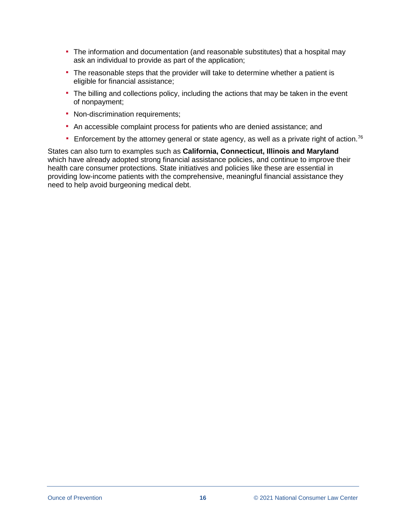- The information and documentation (and reasonable substitutes) that a hospital may ask an individual to provide as part of the application;
- **The reasonable steps that the provider will take to determine whether a patient is** eligible for financial assistance;
- The billing and collections policy, including the actions that may be taken in the event of nonpayment;
- **Non-discrimination requirements;**
- An accessible complaint process for patients who are denied assistance; and
- **Enforcement by the attorney general or state agency, as well as a private right of action.**<sup>76</sup>

States can also turn to examples such as **California, Connecticut, Illinois and Maryland**  which have already adopted strong financial assistance policies, and continue to improve their health care consumer protections. State initiatives and policies like these are essential in providing low-income patients with the comprehensive, meaningful financial assistance they need to help avoid burgeoning medical debt.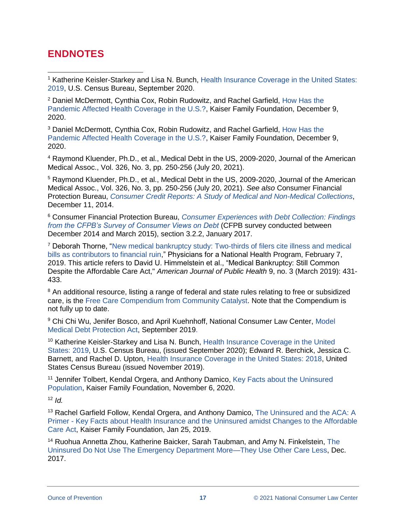### <span id="page-16-0"></span>**ENDNOTES**

 $\overline{a}$ 

<sup>1</sup> Katherine Keisler-Starkey and Lisa N. Bunch, Health Insurance Coverage in the United States: [2019,](https://www.census.gov/library/publications/2020/demo/p60-271.html) U.S. Census Bureau, September 2020.

<sup>2</sup> Daniel McDermott, Cynthia Cox, Robin Rudowitz, and Rachel Garfield, [How Has the](https://www.kff.org/policy-watch/how-has-the-pandemic-affected-health-coverage-in-the-u-s/)  [Pandemic Affected Health Coverage in the U.S.?,](https://www.kff.org/policy-watch/how-has-the-pandemic-affected-health-coverage-in-the-u-s/) Kaiser Family Foundation, December 9, 2020.

<sup>3</sup> Daniel McDermott, Cynthia Cox, Robin Rudowitz, and Rachel Garfield, [How Has the](https://www.kff.org/policy-watch/how-has-the-pandemic-affected-health-coverage-in-the-u-s/)  [Pandemic Affected Health Coverage in the U.S.?,](https://www.kff.org/policy-watch/how-has-the-pandemic-affected-health-coverage-in-the-u-s/) Kaiser Family Foundation, December 9, 2020.

<sup>4</sup> Raymond Kluender, Ph.D., et al., Medical Debt in the US, 2009-2020, Journal of the American Medical Assoc., Vol. 326, No. 3, pp. 250-256 (July 20, 2021).

<sup>5</sup> Raymond Kluender, Ph.D., et al., Medical Debt in the US, 2009-2020, Journal of the American Medical Assoc., Vol. 326, No. 3, pp. 250-256 (July 20, 2021). *See also* Consumer Financial Protection Bureau, *[Consumer Credit Reports: A Study of Medical and Non-Medical Collections](https://files.consumerfinance.gov/f/201412_cfpb_reports_consumer-credit-medical-and-non-medical-collections.pdf)*, December 11, 2014.

<sup>6</sup> Consumer Financial Protection Bureau, *[Consumer Experiences with Debt Collection: Findings](https://s3.amazonaws.com/files.consumerfinance.gov/f/documents/201701_cfpb_Debt-Collection-Survey-Report.pdf)  [from the CFPB's Survey of Consumer Views on Debt](https://s3.amazonaws.com/files.consumerfinance.gov/f/documents/201701_cfpb_Debt-Collection-Survey-Report.pdf)* (CFPB survey conducted between December 2014 and March 2015), section 3.2.2, January 2017.

<sup>7</sup> Deborah Thorne, ["New medical bankruptcy study: Two-thirds of filers cite illness and medical](http://pnhp.org/news/new-medical-bankruptcy-study-two-thirds-of-filers-cite-illness-and-medical-bills-as-contributors-to-financial-ruin/)  [bills as contributors to financial ruin,](http://pnhp.org/news/new-medical-bankruptcy-study-two-thirds-of-filers-cite-illness-and-medical-bills-as-contributors-to-financial-ruin/)" Physicians for a National Health Program, February 7, 2019. This article refers to David U. Himmelstein et al., "Medical Bankruptcy: Still Common Despite the Affordable Care Act," *American Journal of Public Health* 9, no. 3 (March 2019): 431- 433.

<sup>8</sup> An additional resource, listing a range of federal and state rules relating to free or subsidized care, is the [Free Care Compendium from Community Catalyst.](https://www.communitycatalyst.org/initiatives-and-issues/initiatives/hospital-accountability-project/free-care) Note that the Compendium is not fully up to date.

<sup>9</sup> Chi Chi Wu, Jenifer Bosco, and April Kuehnhoff, National Consumer Law Center, Model [Medical Debt Protection Act,](http://bit.ly/2gjIGb6) September 2019.

<sup>10</sup> Katherine Keisler-Starkey and Lisa N. Bunch, Health Insurance Coverage in the United [States: 2019,](https://www.census.gov/library/publications/2020/demo/p60-271.html) U.S. Census Bureau, (issued September 2020); Edward R. Berchick, Jessica C. Barnett, and Rachel D. Upton, [Health Insurance Coverage in the United States: 2018,](https://www.census.gov/content/dam/Census/library/publications/2019/demo/p60-267.pdf) United States Census Bureau (issued November 2019).

<sup>11</sup> Jennifer Tolbert, Kendal Orgera, and Anthony Damico, Key Facts about the Uninsured [Population,](https://www.kff.org/uninsured/issue-brief/key-facts-about-the-uninsured-population/) Kaiser Family Foundation, November 6, 2020.

 $12$  *Id.* 

<sup>13</sup> Rachel Garfield Follow, Kendal Orgera, and Anthony Damico, [The Uninsured and the ACA:](https://www.kff.org/report-section/the-uninsured-and-the-aca-a-primer-key-facts-about-health-insurance-and-the-uninsured-amidst-changes-to-the-affordable-care-act-how-does-lack-of-insurance-affect-access-to-care/) A Primer - [Key Facts about Health Insurance and the Uninsured amidst Changes to the Affordable](https://www.kff.org/report-section/the-uninsured-and-the-aca-a-primer-key-facts-about-health-insurance-and-the-uninsured-amidst-changes-to-the-affordable-care-act-how-does-lack-of-insurance-affect-access-to-care/)  [Care Act,](https://www.kff.org/report-section/the-uninsured-and-the-aca-a-primer-key-facts-about-health-insurance-and-the-uninsured-amidst-changes-to-the-affordable-care-act-how-does-lack-of-insurance-affect-access-to-care/) Kaiser Family Foundation, Jan 25, 2019.

<sup>14</sup> Ruohua Annetta Zhou, Katherine Baicker, Sarah Taubman, and Amy N. Finkelstein, The [Uninsured Do Not Use The Emergency Department More—They Use Other Care Less,](https://www.ncbi.nlm.nih.gov/pmc/articles/PMC5754025/) Dec. 2017.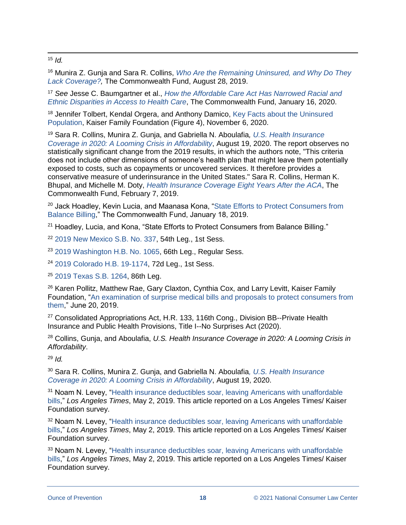$\overline{a}$ <sup>15</sup> *Id.*

<sup>16</sup> Munira Z. Gunja and Sara R. Collins, *[Who Are the Remaining Uninsured, and Why Do They](https://www.commonwealthfund.org/publications/issue-briefs/2019/aug/who-are-remaining-uninsured-and-why-do-they-lack-coverage)  [Lack Coverage?,](https://www.commonwealthfund.org/publications/issue-briefs/2019/aug/who-are-remaining-uninsured-and-why-do-they-lack-coverage)* The Commonwealth Fund, August 28, 2019.

<sup>17</sup> *See* Jesse C. Baumgartner et al., *[How the Affordable Care Act Has Narrowed Racial and](https://www.commonwealthfund.org/publications/2020/jan/how-ACA-narrowed-racial-ethnic-disparities-access)  [Ethnic Disparities in Access to Health Care](https://www.commonwealthfund.org/publications/2020/jan/how-ACA-narrowed-racial-ethnic-disparities-access)*, The Commonwealth Fund, January 16, 2020.

<sup>18</sup> Jennifer Tolbert, Kendal Orgera, and Anthony Damico, Key Facts about the Uninsured [Population,](https://www.kff.org/uninsured/issue-brief/key-facts-about-the-uninsured-population/) Kaiser Family Foundation (Figure 4), November 6, 2020.

<sup>19</sup> Sara R. Collins, Munira Z. Gunja, and Gabriella N. Aboulafia*, [U.S. Health Insurance](https://www.commonwealthfund.org/publications/issue-briefs/2020/aug/looming-crisis-health-coverage-2020-biennial)  [Coverage in 2020: A Looming Crisis in Affordability](https://www.commonwealthfund.org/publications/issue-briefs/2020/aug/looming-crisis-health-coverage-2020-biennial)*, August 19, 2020. The report observes no statistically significant change from the 2019 results, in which the authors note, "This criteria does not include other dimensions of someone's health plan that might leave them potentially exposed to costs, such as copayments or uncovered services. It therefore provides a conservative measure of underinsurance in the United States." Sara R. Collins, Herman K. Bhupal, and Michelle M. Doty, *[Health Insurance Coverage Eight Years After the ACA](https://www.commonwealthfund.org/publications/issue-briefs/2019/feb/health-insurance-coverage-eight-years-after-aca)*, The Commonwealth Fund, February 7, 2019.

<sup>20</sup> Jack Hoadley, Kevin Lucia, and Maanasa Kona, "State Efforts to Protect Consumers from [Balance Billing,](https://www.commonwealthfund.org/blog/2019/state-efforts-protect-consumers-balance-billing)" The Commonwealth Fund, January 18, 2019.

<sup>21</sup> Hoadley, Lucia, and Kona, "State Efforts to Protect Consumers from Balance Billing."

<sup>22</sup> [2019 New Mexico S.B. No. 337,](https://www.nmlegis.gov/Sessions/19%20Regular/final/SB0337.pdf) 54th Leg., 1st Sess.

<sup>23</sup> [2019 Washington H.B. No. 1065,](http://lawfilesext.leg.wa.gov/biennium/2019-20/Pdf/Bills/House%20Passed%20Legislature/1065-S2.PL.pdf#page=1) 66th Leg., Regular Sess.

<sup>24</sup> [2019 Colorado H.B. 19-1174,](https://leg.colorado.gov/sites/default/files/documents/2019A/bills/2019a_1174_rer.pdf) 72d Leg., 1st Sess.

<sup>25</sup> [2019 Texas S.B. 1264,](https://legiscan.com/TX/text/SB1264/2019) 86th Leg.

<sup>26</sup> Karen Pollitz, Matthew Rae, Gary Claxton, Cynthia Cox, and Larry Levitt, Kaiser Family Foundation, ["An examination of surprise medical bills and proposals to protect consumers from](https://www.healthsystemtracker.org/brief/an-examination-of-surprise-medical-bills-and-proposals-to-protect-consumers-from-them/)  [them,](https://www.healthsystemtracker.org/brief/an-examination-of-surprise-medical-bills-and-proposals-to-protect-consumers-from-them/)" June 20, 2019.

<sup>27</sup> Consolidated Appropriations Act, H.R. 133, 116th Cong., Division BB--Private Health Insurance and Public Health Provisions, Title I--No Surprises Act (2020).

<sup>28</sup> Collins, Gunja, and Aboulafia, *U.S. Health Insurance Coverage in 2020: A Looming Crisis in Affordability*.

<sup>29</sup> *Id.*

<sup>30</sup> Sara R. Collins, Munira Z. Gunja, and Gabriella N. Aboulafia*[, U.S. Health Insurance](https://www.commonwealthfund.org/publications/issue-briefs/2020/aug/looming-crisis-health-coverage-2020-biennial)  [Coverage in 2020: A Looming Crisis in Affordability](https://www.commonwealthfund.org/publications/issue-briefs/2020/aug/looming-crisis-health-coverage-2020-biennial)*, August 19, 2020.

<sup>31</sup> Noam N. Levey, "Health insurance deductibles soar, leaving Americans with unaffordable [bills,](https://www.latimes.com/politics/la-na-pol-health-insurance-medical-bills-20190502-story.html)" *Los Angeles Times*, May 2, 2019. This article reported on a Los Angeles Times/ Kaiser Foundation survey.

<sup>32</sup> Noam N. Levey, "Health insurance deductibles soar, leaving Americans with unaffordable [bills,](https://www.latimes.com/politics/la-na-pol-health-insurance-medical-bills-20190502-story.html)" *Los Angeles Times*, May 2, 2019. This article reported on a Los Angeles Times/ Kaiser Foundation survey.

<sup>33</sup> Noam N. Levey, ["Health insurance deductibles soar, leaving Americans](https://www.latimes.com/politics/la-na-pol-health-insurance-medical-bills-20190502-story.html) with unaffordable [bills,](https://www.latimes.com/politics/la-na-pol-health-insurance-medical-bills-20190502-story.html)" *Los Angeles Times*, May 2, 2019. This article reported on a Los Angeles Times/ Kaiser Foundation survey.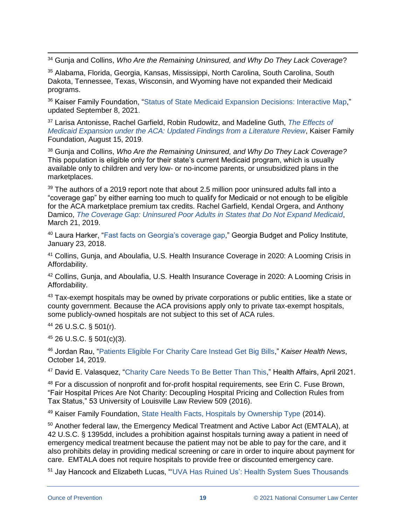$\overline{a}$ <sup>34</sup> Gunja and Collins, *Who Are the Remaining Uninsured, and Why Do They Lack Coverage*?

<sup>35</sup> Alabama, Florida, Georgia, Kansas, Mississippi, North Carolina, South Carolina, South Dakota, Tennessee, Texas, Wisconsin, and Wyoming have not expanded their Medicaid programs.

<sup>36</sup> Kaiser Family Foundation, ["Status of State Medicaid Expansion Decisions: Interactive Map,](https://www.kff.org/medicaid/issue-brief/status-of-state-medicaid-expansion-decisions-interactive-map/)" updated September 8, 2021.

<sup>37</sup> Larisa Antonisse, Rachel Garfield, Robin Rudowitz, and Madeline Guth, *[The Effects of](https://www.kff.org/medicaid/issue-brief/the-effects-of-medicaid-expansion-under-the-aca-updated-findings-from-a-literature-review-august-2019/)  [Medicaid Expansion under the ACA: Updated Findings from a Literature Review](https://www.kff.org/medicaid/issue-brief/the-effects-of-medicaid-expansion-under-the-aca-updated-findings-from-a-literature-review-august-2019/)*, Kaiser Family Foundation, August 15, 2019.

<sup>38</sup> Gunja and Collins, *Who Are the Remaining Uninsured, and Why Do They Lack Coverage?* This population is eligible only for their state's current Medicaid program, which is usually available only to children and very low- or no-income parents, or unsubsidized plans in the marketplaces.

 $39$  The authors of a 2019 report note that about 2.5 million poor uninsured adults fall into a "coverage gap" by either earning too much to qualify for Medicaid or not enough to be eligible for the ACA marketplace premium tax credits. Rachel Garfield, Kendal Orgera, and Anthony Damico, *[The Coverage Gap: Uninsured Poor Adults in States that Do Not Expand Medicaid](https://www.kff.org/medicaid/issue-brief/the-coverage-gap-uninsured-poor-adults-in-states-that-do-not-expand-medicaid/)*, March 21, 2019.

<sup>40</sup> Laura Harker, ["Fast facts on Georgia's coverage gap,](https://gbpi.org/2018/fast-facts-georgias-coverage-gap/)" Georgia Budget and Policy Institute, January 23, 2018.

<sup>41</sup> Collins, Gunja, and Aboulafia, U.S. Health Insurance Coverage in 2020: A Looming Crisis in Affordability.

42 Collins, Gunja, and Aboulafia, U.S. Health Insurance Coverage in 2020: A Looming Crisis in Affordability.

<sup>43</sup> Tax-exempt hospitals may be owned by private corporations or public entities, like a state or county government. Because the ACA provisions apply only to private tax-exempt hospitals, some publicly-owned hospitals are not subject to this set of ACA rules.

<sup>44</sup> 26 U.S.C. § 501(r).

<sup>45</sup> 26 U.S.C. § 501(c)(3).

<sup>46</sup> Jordan Rau, ["Patients Eligible For Charity Care Instead Get Big Bills,](https://khn.org/news/patients-eligible-for-charity-care-instead-get-big-bills/)" *Kaiser Health News*, October 14, 2019.

<sup>47</sup> David E. Valasquez, ["Charity Care Needs To Be Better Than This,](https://www.healthaffairs.org/doi/10.1377/hlthaff.2021.00011)" Health Affairs, April 2021.

<sup>48</sup> For a discussion of nonprofit and for-profit hospital requirements, see Erin C. Fuse Brown, "Fair Hospital Prices Are Not Charity: Decoupling Hospital Pricing and Collection Rules from Tax Status," 53 University of Louisville Law Review 509 (2016).

<sup>49</sup> Kaiser Family Foundation, [State Health Facts, Hospitals by Ownership Type](https://www.kff.org/other/state-indicator/hospitals-by-ownership/?currentTimeframe=0&sortModel=%7B%22colId%22:%22Location%22,%22sort%22:%22asc%22%7D) (2014).

<sup>50</sup> Another federal law, the Emergency Medical Treatment and Active Labor Act (EMTALA), at 42 U.S.C. § 1395dd, includes a prohibition against hospitals turning away a patient in need of emergency medical treatment because the patient may not be able to pay for the care, and it also prohibits delay in providing medical screening or care in order to inquire about payment for care. EMTALA does not require hospitals to provide free or discounted emergency care.

<sup>51</sup> Jay Hancock and Elizabeth Lucas, "['UVA Has Ruined Us': Health System Sues Thousands](https://khn.org/news/uva-health-system-sues-patients-virginia-courts-garnishment-liens-bankruptcy/)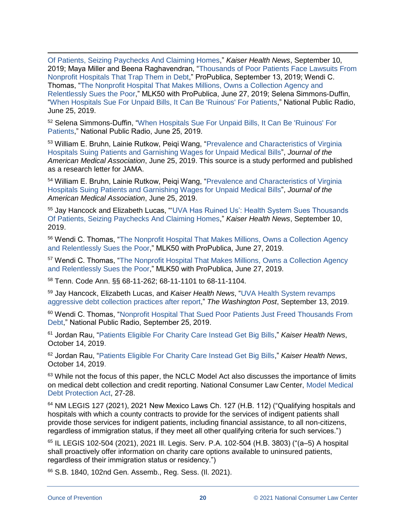[Of Patients, Seizing Paychecks And Claiming Homes,](https://khn.org/news/uva-health-system-sues-patients-virginia-courts-garnishment-liens-bankruptcy/)" *Kaiser Health News*, September 10, 2019; Maya Miller and Beena Raghavendran, ["Thousands of Poor Patients Face Lawsuits From](https://www.propublica.org/article/thousands-of-poor-patients-face-lawsuits-from-nonprofit-hospitals-that-trap-them-in-debt)  [Nonprofit Hospitals That Trap Them in Debt,](https://www.propublica.org/article/thousands-of-poor-patients-face-lawsuits-from-nonprofit-hospitals-that-trap-them-in-debt)" ProPublica, September 13, 2019; Wendi C. Thomas, ["The Nonprofit Hospital That Makes Millions, Owns a Collection Agency and](https://www.propublica.org/article/methodist-le-bonheur-healthcare-sues-poor-medical-debt)  [Relentlessly Sues the Poor,](https://www.propublica.org/article/methodist-le-bonheur-healthcare-sues-poor-medical-debt)" MLK50 with ProPublica, June 27, 2019; Selena Simmons-Duffin, ["When Hospitals Sue For Unpaid Bills, It Can Be 'Ruinous' For Patients,](https://www.npr.org/sections/health-shots/2019/06/25/735385283/hospitals-earn-little-from-suing-for-unpaid-bills-for-patients-it-can-be-ruinous)" National Public Radio, June 25, 2019.

<sup>52</sup> Selena Simmons-Duffin, ["When Hospitals Sue For Unpaid Bills, It Can Be 'Ruinous' For](https://www.npr.org/sections/health-shots/2019/06/25/735385283/hospitals-earn-little-from-suing-for-unpaid-bills-for-patients-it-can-be-ruinous)  [Patients,](https://www.npr.org/sections/health-shots/2019/06/25/735385283/hospitals-earn-little-from-suing-for-unpaid-bills-for-patients-it-can-be-ruinous)" National Public Radio, June 25, 2019.

<sup>53</sup> William E. Bruhn, Lainie Rutkow, Peiqi Wang, ["Prevalence and Characteristics of Virginia](https://jamanetwork.com/journals/jama/fullarticle/2737183)  [Hospitals Suing Patients and Garnishing Wages for Unpaid Medical Bills"](https://jamanetwork.com/journals/jama/fullarticle/2737183), *Journal of the American Medical Association*, June 25, 2019. This source is a study performed and published as a research letter for JAMA.

<sup>54</sup> William E. Bruhn, Lainie Rutkow, Peiqi Wang, ["Prevalence and Characteristics of Virginia](https://jamanetwork.com/journals/jama/fullarticle/2737183)  [Hospitals Suing Patients and Garnishing Wages for Unpaid Medical Bills"](https://jamanetwork.com/journals/jama/fullarticle/2737183), *Journal of the American Medical Association*, June 25, 2019.

<sup>55</sup> Jay Hancock and Elizabeth Lucas, "['UVA Has Ruined Us': Health System Sues Thousands](https://khn.org/news/uva-health-system-sues-patients-virginia-courts-garnishment-liens-bankruptcy/)  [Of Patients, Seizing Paychecks And Claiming Homes,](https://khn.org/news/uva-health-system-sues-patients-virginia-courts-garnishment-liens-bankruptcy/)" *Kaiser Health News*, September 10, 2019.

<sup>56</sup> Wendi C. Thomas, ["The Nonprofit Hospital That Makes Millions, Owns a Collection Agency](https://www.propublica.org/article/methodist-le-bonheur-healthcare-sues-poor-medical-debt)  [and Relentlessly Sues the Poor,](https://www.propublica.org/article/methodist-le-bonheur-healthcare-sues-poor-medical-debt)" MLK50 with ProPublica, June 27, 2019.

<sup>57</sup> Wendi C. Thomas, ["The Nonprofit Hospital That Makes Millions, Owns a Collection Agency](https://www.propublica.org/article/methodist-le-bonheur-healthcare-sues-poor-medical-debt)  [and Relentlessly Sues the Poor,](https://www.propublica.org/article/methodist-le-bonheur-healthcare-sues-poor-medical-debt)" MLK50 with ProPublica, June 27, 2019.

<sup>58</sup> Tenn. Code Ann. §§ 68-11-262; 68-11-1101 to 68-11-1104.

<sup>59</sup> Jay Hancock, Elizabeth Lucas, and *Kaiser Health News*, ["UVA Health System revamps](https://www.washingtonpost.com/health/uva-health-system-revamps-aggressive-debt-collection-practices-after-story/2019/09/13/4a381a0a-d629-11e9-9343-40db57cf6abd_story.html)  [aggressive debt collection practices after report,](https://www.washingtonpost.com/health/uva-health-system-revamps-aggressive-debt-collection-practices-after-story/2019/09/13/4a381a0a-d629-11e9-9343-40db57cf6abd_story.html)" *The Washington Post*, September 13, 2019.

<sup>60</sup> Wendi C. Thomas, ["Nonprofit Hospital That Sued Poor Patients Just Freed Thousands From](https://www.npr.org/sections/health-shots/2019/09/25/764224277/nonprofit-hospital-that-sued-poor-patients-just-freed-thousands-from-debt)  [Debt,](https://www.npr.org/sections/health-shots/2019/09/25/764224277/nonprofit-hospital-that-sued-poor-patients-just-freed-thousands-from-debt)" National Public Radio, September 25, 2019.

<sup>61</sup> Jordan Rau, ["Patients Eligible For Charity Care Instead Get Big Bills,](https://khn.org/news/patients-eligible-for-charity-care-instead-get-big-bills/)" *Kaiser Health News*, October 14, 2019.

<sup>62</sup> Jordan Rau, ["Patients Eligible For Charity Care Instead Get Big Bills,](https://khn.org/news/patients-eligible-for-charity-care-instead-get-big-bills/)" *Kaiser Health News*, October 14, 2019.

 $63$  While not the focus of this paper, the NCLC Model Act also discusses the importance of limits on medical debt collection and credit reporting. National Consumer Law Center, [Model Medical](http://bit.ly/2gjIGb6)  [Debt Protection Act,](http://bit.ly/2gjIGb6) 27-28.

<sup>64</sup> NM LEGIS 127 (2021), 2021 New Mexico Laws Ch. 127 (H.B. 112) ("Qualifying hospitals and hospitals with which a county contracts to provide for the services of indigent patients shall provide those services for indigent patients, including financial assistance, to all non-citizens, regardless of immigration status, if they meet all other qualifying criteria for such services.")

<sup>65</sup> IL LEGIS 102-504 (2021), 2021 Ill. Legis. Serv. P.A. 102-504 (H.B. 3803) ("(a–5) A hospital shall proactively offer information on charity care options available to uninsured patients, regardless of their immigration status or residency.")

<sup>66</sup> S.B. 1840, 102nd Gen. Assemb., Reg. Sess. (Il. 2021).

 $\overline{a}$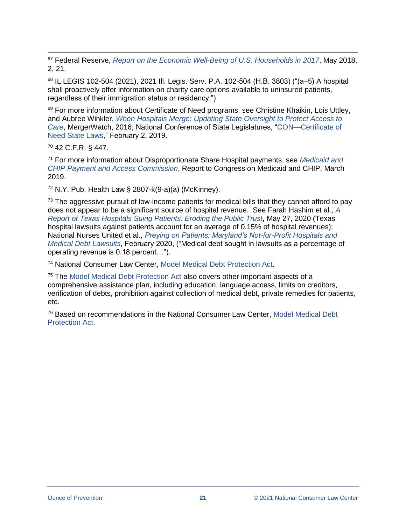$\overline{a}$ <sup>67</sup> Federal Reserve, *[Report on the Economic Well-Being of U.S. Households in 2017](https://www.federalreserve.gov/publications/files/2017-report-economic-well-being-us-households-201805.pdf)*, May 2018, 2, 21.

<sup>68</sup> IL LEGIS 102-504 (2021), 2021 Ill. Legis. Serv. P.A. 102-504 (H.B. 3803) ("(a–5) A hospital shall proactively offer information on charity care options available to uninsured patients, regardless of their immigration status or residency.")

<sup>69</sup> For more information about Certificate of Need programs, see Christine Khaikin, Lois Uttley, and Aubree Winkler, *[When Hospitals Merge: Updating State Oversight to Protect](https://www.hpae.org/wp-content/uploads/2016/10/WHM-CONreport_epub_1-42.pdf) Access to [Care](https://www.hpae.org/wp-content/uploads/2016/10/WHM-CONreport_epub_1-42.pdf)*, MergerWatch, 2016; National Conference of State Legislatures, ["CON—Certificate of](http://www.ncsl.org/research/health/con-certificate-of-need-state-laws.aspx)  [Need State Laws,](http://www.ncsl.org/research/health/con-certificate-of-need-state-laws.aspx)" February 2, 2019.

<sup>70</sup> 42 C.F.R. § 447.

<sup>71</sup> For more information about Disproportionate Share Hospital payments, see *[Medicaid and](https://www.macpac.gov/wp-content/uploads/2019/03/March-2019-Report-to-Congress-on-Medicaid-and-CHIP.pdf)  [CHIP Payment and Access Commission](https://www.macpac.gov/wp-content/uploads/2019/03/March-2019-Report-to-Congress-on-Medicaid-and-CHIP.pdf)*, Report to Congress on Medicaid and CHIP, March 2019.

 $72$  N.Y. Pub. Health Law § 2807-k(9-a)(a) (McKinney).

 $73$  The aggressive pursuit of low-income patients for medical bills that they cannot afford to pay does not appear to be a significant source of hospital revenue. See Farah Hashim et al., *[A](https://www.arnoldventures.org/stories/texas-hospitals-sue-patients-over-medical-debt)  [Report of Texas Hospitals Suing Patients: Eroding the Public Trust](https://www.arnoldventures.org/stories/texas-hospitals-sue-patients-over-medical-debt)***,** May 27, 2020 (Texas hospital lawsuits against patients account for an average of 0.15% of hospital revenues); National Nurses United et al., *[Preying on Patients: Maryland's Not-for-Profit Hospitals and](https://www.nationalnursesunited.org/sites/default/files/nnu/documents/0220_JHH_PreyingOnPatients_Report-opt.pdf)  [Medical Debt Lawsuits,](https://www.nationalnursesunited.org/sites/default/files/nnu/documents/0220_JHH_PreyingOnPatients_Report-opt.pdf)* February 2020, ("Medical debt sought in lawsuits as a percentage of operating revenue is 0.18 percent…").

<sup>74</sup> National Consumer Law Center, [Model Medical Debt Protection Act.](http://bit.ly/2gjIGb6)

<sup>75</sup> The [Model Medical Debt Protection Act](http://bit.ly/2gjIGb6) also covers other important aspects of a comprehensive assistance plan, including education, language access, limits on creditors, verification of debts, prohibition against collection of medical debt, private remedies for patients, etc.

<sup>76</sup> Based on recommendations in the National Consumer Law Center, [Model Medical Debt](http://bit.ly/2gjIGb6)  [Protection Act.](http://bit.ly/2gjIGb6)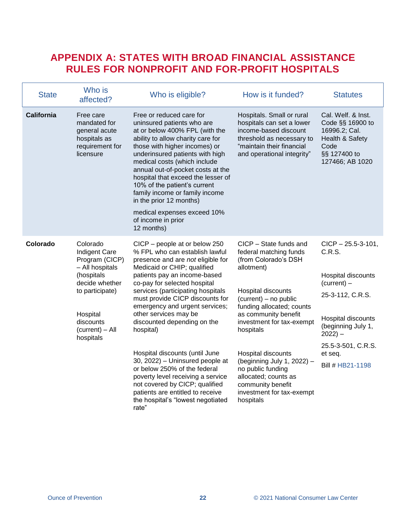### <span id="page-21-0"></span>**APPENDIX A: STATES WITH BROAD FINANCIAL ASSISTANCE RULES FOR NONPROFIT AND FOR-PROFIT HOSPITALS**

| <b>State</b>      | Who is<br>affected?                                                                                                                                                               | Who is eligible?                                                                                                                                                                                                                                                                                                                                                                                                                                                                                                                                                                                                                                 | How is it funded?                                                                                                                                                                                                                                                                                                                                                                                    | <b>Statutes</b>                                                                                                                                                                                               |
|-------------------|-----------------------------------------------------------------------------------------------------------------------------------------------------------------------------------|--------------------------------------------------------------------------------------------------------------------------------------------------------------------------------------------------------------------------------------------------------------------------------------------------------------------------------------------------------------------------------------------------------------------------------------------------------------------------------------------------------------------------------------------------------------------------------------------------------------------------------------------------|------------------------------------------------------------------------------------------------------------------------------------------------------------------------------------------------------------------------------------------------------------------------------------------------------------------------------------------------------------------------------------------------------|---------------------------------------------------------------------------------------------------------------------------------------------------------------------------------------------------------------|
| <b>California</b> | Free care<br>mandated for<br>general acute<br>hospitals as<br>requirement for<br>licensure                                                                                        | Free or reduced care for<br>uninsured patients who are<br>at or below 400% FPL (with the<br>ability to allow charity care for<br>those with higher incomes) or<br>underinsured patients with high<br>medical costs (which include<br>annual out-of-pocket costs at the<br>hospital that exceed the lesser of<br>10% of the patient's current<br>family income or family income<br>in the prior 12 months)<br>medical expenses exceed 10%<br>of income in prior<br>12 months)                                                                                                                                                                     | Hospitals. Small or rural<br>hospitals can set a lower<br>income-based discount<br>threshold as necessary to<br>"maintain their financial<br>and operational integrity"                                                                                                                                                                                                                              | Cal. Welf. & Inst.<br>Code §§ 16900 to<br>16996.2; Cal.<br>Health & Safety<br>Code<br>§§ 127400 to<br>127466; AB 1020                                                                                         |
| Colorado          | Colorado<br><b>Indigent Care</b><br>Program (CICP)<br>- All hospitals<br>(hospitals<br>decide whether<br>to participate)<br>Hospital<br>discounts<br>(current) - All<br>hospitals | CICP – people at or below 250<br>% FPL who can establish lawful<br>presence and are not eligible for<br>Medicaid or CHIP; qualified<br>patients pay an income-based<br>co-pay for selected hospital<br>services (participating hospitals<br>must provide CICP discounts for<br>emergency and urgent services;<br>other services may be<br>discounted depending on the<br>hospital)<br>Hospital discounts (until June<br>30, 2022) - Uninsured people at<br>or below 250% of the federal<br>poverty level receiving a service<br>not covered by CICP; qualified<br>patients are entitled to receive<br>the hospital's "lowest negotiated<br>rate" | CICP - State funds and<br>federal matching funds<br>(from Colorado's DSH<br>allotment)<br>Hospital discounts<br>(current) - no public<br>funding allocated; counts<br>as community benefit<br>investment for tax-exempt<br>hospitals<br>Hospital discounts<br>(beginning July 1, 2022) -<br>no public funding<br>allocated; counts as<br>community benefit<br>investment for tax-exempt<br>hospitals | $CICP - 25.5 - 3 - 101$ ,<br>C.R.S.<br>Hospital discounts<br>$(current) -$<br>25-3-112, C.R.S.<br>Hospital discounts<br>(beginning July 1,<br>$2022$ ) –<br>25.5-3-501, C.R.S.<br>et seq.<br>Bill # HB21-1198 |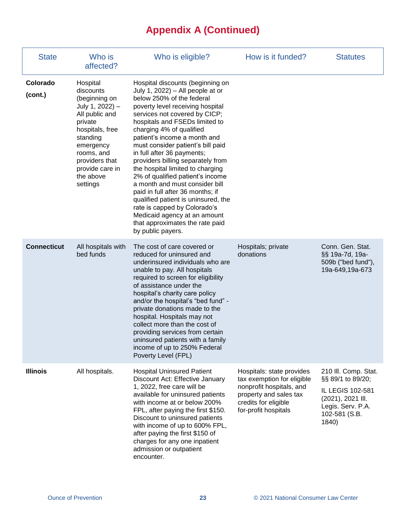# **Appendix A (Continued)**

| <b>State</b>        | Who is<br>affected?                                                                                                                                                                                            | Who is eligible?                                                                                                                                                                                                                                                                                                                                                                                                                                                                                                                                                                                                                                                                            | How is it funded?                                                                                                                                             | <b>Statutes</b>                                                                                                                   |
|---------------------|----------------------------------------------------------------------------------------------------------------------------------------------------------------------------------------------------------------|---------------------------------------------------------------------------------------------------------------------------------------------------------------------------------------------------------------------------------------------------------------------------------------------------------------------------------------------------------------------------------------------------------------------------------------------------------------------------------------------------------------------------------------------------------------------------------------------------------------------------------------------------------------------------------------------|---------------------------------------------------------------------------------------------------------------------------------------------------------------|-----------------------------------------------------------------------------------------------------------------------------------|
| Colorado<br>(cont.) | Hospital<br>discounts<br>(beginning on<br>July 1, 2022) -<br>All public and<br>private<br>hospitals, free<br>standing<br>emergency<br>rooms, and<br>providers that<br>provide care in<br>the above<br>settings | Hospital discounts (beginning on<br>July 1, 2022) $-$ All people at or<br>below 250% of the federal<br>poverty level receiving hospital<br>services not covered by CICP;<br>hospitals and FSEDs limited to<br>charging 4% of qualified<br>patient's income a month and<br>must consider patient's bill paid<br>in full after 36 payments;<br>providers billing separately from<br>the hospital limited to charging<br>2% of qualified patient's income<br>a month and must consider bill<br>paid in full after 36 months; if<br>qualified patient is uninsured, the<br>rate is capped by Colorado's<br>Medicaid agency at an amount<br>that approximates the rate paid<br>by public payers. |                                                                                                                                                               |                                                                                                                                   |
| <b>Connecticut</b>  | All hospitals with<br>bed funds                                                                                                                                                                                | The cost of care covered or<br>reduced for uninsured and<br>underinsured individuals who are<br>unable to pay. All hospitals<br>required to screen for eligibility<br>of assistance under the<br>hospital's charity care policy<br>and/or the hospital's "bed fund" -<br>private donations made to the<br>hospital. Hospitals may not<br>collect more than the cost of<br>providing services from certain<br>uninsured patients with a family<br>income of up to 250% Federal<br>Poverty Level (FPL)                                                                                                                                                                                        | Hospitals; private<br>donations                                                                                                                               | Conn. Gen. Stat.<br>§§ 19a-7d, 19a-<br>509b ("bed fund"),<br>19a-649,19a-673                                                      |
| <b>Illinois</b>     | All hospitals.                                                                                                                                                                                                 | <b>Hospital Uninsured Patient</b><br>Discount Act: Effective January<br>1, 2022, free care will be<br>available for uninsured patients<br>with income at or below 200%<br>FPL, after paying the first \$150.<br>Discount to uninsured patients<br>with income of up to 600% FPL,<br>after paying the first \$150 of<br>charges for any one inpatient<br>admission or outpatient<br>encounter.                                                                                                                                                                                                                                                                                               | Hospitals: state provides<br>tax exemption for eligible<br>nonprofit hospitals, and<br>property and sales tax<br>credits for eligible<br>for-profit hospitals | 210 III. Comp. Stat.<br>§§ 89/1 to 89/20;<br>IL LEGIS 102-581<br>(2021), 2021 III.<br>Legis. Serv. P.A.<br>102-581 (S.B.<br>1840) |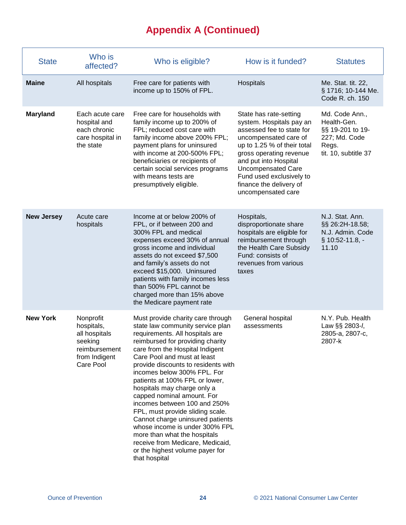# **Appendix A (Continued)**

| <b>State</b>      | Who is<br>affected?                                                                                | Who is eligible?                                                                                                                                                                                                                                                                                                                                                                                                                                                                                                                                                                                                                                      | How is it funded?                                                                                                                                                                                                                                                                                     | <b>Statutes</b>                                                                                     |
|-------------------|----------------------------------------------------------------------------------------------------|-------------------------------------------------------------------------------------------------------------------------------------------------------------------------------------------------------------------------------------------------------------------------------------------------------------------------------------------------------------------------------------------------------------------------------------------------------------------------------------------------------------------------------------------------------------------------------------------------------------------------------------------------------|-------------------------------------------------------------------------------------------------------------------------------------------------------------------------------------------------------------------------------------------------------------------------------------------------------|-----------------------------------------------------------------------------------------------------|
| <b>Maine</b>      | All hospitals                                                                                      | Free care for patients with<br>income up to 150% of FPL.                                                                                                                                                                                                                                                                                                                                                                                                                                                                                                                                                                                              | Hospitals                                                                                                                                                                                                                                                                                             | Me. Stat. tit. 22,<br>§ 1716; 10-144 Me.<br>Code R. ch. 150                                         |
| <b>Maryland</b>   | Each acute care<br>hospital and<br>each chronic<br>care hospital in<br>the state                   | Free care for households with<br>family income up to 200% of<br>FPL; reduced cost care with<br>family income above 200% FPL;<br>payment plans for uninsured<br>with income at 200-500% FPL;<br>beneficiaries or recipients of<br>certain social services programs<br>with means tests are<br>presumptively eligible.                                                                                                                                                                                                                                                                                                                                  | State has rate-setting<br>system. Hospitals pay an<br>assessed fee to state for<br>uncompensated care of<br>up to 1.25 % of their total<br>gross operating revenue<br>and put into Hospital<br><b>Uncompensated Care</b><br>Fund used exclusively to<br>finance the delivery of<br>uncompensated care | Md. Code Ann.,<br>Health-Gen.<br>§§ 19-201 to 19-<br>227; Md. Code<br>Regs.<br>tit. 10, subtitle 37 |
| <b>New Jersey</b> | Acute care<br>hospitals                                                                            | Income at or below 200% of<br>FPL, or if between 200 and<br>300% FPL and medical<br>expenses exceed 30% of annual<br>gross income and individual<br>assets do not exceed \$7,500<br>and family's assets do not<br>exceed \$15,000. Uninsured<br>patients with family incomes less<br>than 500% FPL cannot be<br>charged more than 15% above<br>the Medicare payment rate                                                                                                                                                                                                                                                                              | Hospitals,<br>disproportionate share<br>hospitals are eligible for<br>reimbursement through<br>the Health Care Subsidy<br>Fund: consists of<br>revenues from various<br>taxes                                                                                                                         | N.J. Stat. Ann.<br>§§ 26:2H-18.58;<br>N.J. Admin. Code<br>§ 10:52-11.8, -<br>11.10                  |
| <b>New York</b>   | Nonprofit<br>hospitals,<br>all hospitals<br>seeking<br>reimbursement<br>from Indigent<br>Care Pool | Must provide charity care through<br>state law community service plan<br>requirements. All hospitals are<br>reimbursed for providing charity<br>care from the Hospital Indigent<br>Care Pool and must at least<br>provide discounts to residents with<br>incomes below 300% FPL. For<br>patients at 100% FPL or lower,<br>hospitals may charge only a<br>capped nominal amount. For<br>incomes between 100 and 250%<br>FPL, must provide sliding scale.<br>Cannot charge uninsured patients<br>whose income is under 300% FPL<br>more than what the hospitals<br>receive from Medicare, Medicaid,<br>or the highest volume payer for<br>that hospital | General hospital<br>assessments                                                                                                                                                                                                                                                                       | N.Y. Pub. Health<br>Law §§ 2803-l,<br>2805-а, 2807-с,<br>2807-k                                     |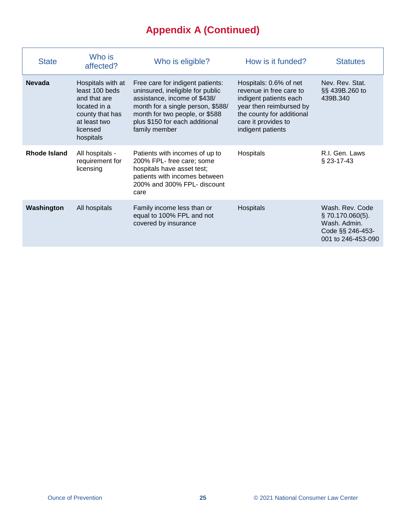# **Appendix A (Continued)**

| <b>State</b>  | Who is<br>affected?                                                                                                             | Who is eligible?                                                                                                                                                                                                               | How is it funded?                                                                                                                                                               | <b>Statutes</b>                                                                                  |
|---------------|---------------------------------------------------------------------------------------------------------------------------------|--------------------------------------------------------------------------------------------------------------------------------------------------------------------------------------------------------------------------------|---------------------------------------------------------------------------------------------------------------------------------------------------------------------------------|--------------------------------------------------------------------------------------------------|
| <b>Nevada</b> | Hospitals with at<br>least 100 beds<br>and that are<br>located in a<br>county that has<br>at least two<br>licensed<br>hospitals | Free care for indigent patients:<br>uninsured, ineligible for public<br>assistance, income of \$438/<br>month for a single person, \$588/<br>month for two people, or \$588<br>plus \$150 for each additional<br>family member | Hospitals: 0.6% of net<br>revenue in free care to<br>indigent patients each<br>year then reimbursed by<br>the county for additional<br>care it provides to<br>indigent patients | Nev. Rev. Stat.<br>§§ 439B.260 to<br>439B.340                                                    |
| Rhode Island  | All hospitals -<br>requirement for<br>licensing                                                                                 | Patients with incomes of up to<br>200% FPL- free care; some<br>hospitals have asset test;<br>patients with incomes between<br>200% and 300% FPL- discount<br>care                                                              | Hospitals                                                                                                                                                                       | R.I. Gen. Laws<br>$\S$ 23-17-43                                                                  |
| Washington    | All hospitals                                                                                                                   | Family income less than or<br>equal to 100% FPL and not<br>covered by insurance                                                                                                                                                | Hospitals                                                                                                                                                                       | Wash, Rev. Code<br>$\S$ 70.170.060(5).<br>Wash. Admin.<br>Code §§ 246-453-<br>001 to 246-453-090 |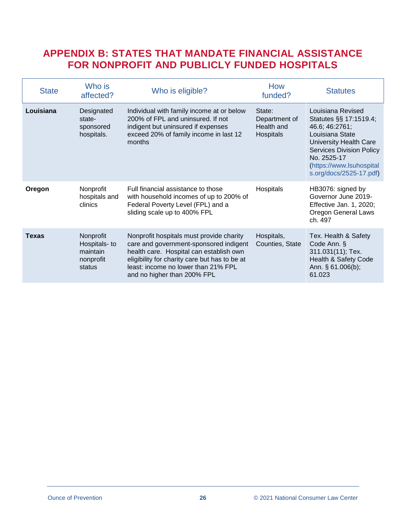### <span id="page-25-0"></span>**APPENDIX B: STATES THAT MANDATE FINANCIAL ASSISTANCE FOR NONPROFIT AND PUBLICLY FUNDED HOSPITALS**

| <b>State</b> | Who is<br>affected?                                           | Who is eligible?                                                                                                                                                                                                                                     | How<br>funded?                                     | <b>Statutes</b>                                                                                                                                                                                                     |
|--------------|---------------------------------------------------------------|------------------------------------------------------------------------------------------------------------------------------------------------------------------------------------------------------------------------------------------------------|----------------------------------------------------|---------------------------------------------------------------------------------------------------------------------------------------------------------------------------------------------------------------------|
| Louisiana    | Designated<br>state-<br>sponsored<br>hospitals.               | Individual with family income at or below<br>200% of FPL and uninsured. If not<br>indigent but uninsured if expenses<br>exceed 20% of family income in last 12<br>months                                                                             | State:<br>Department of<br>Health and<br>Hospitals | Louisiana Revised<br>Statutes §§ 17:1519.4;<br>46.6; 46:2761;<br>Louisiana State<br>University Health Care<br><b>Services Division Policy</b><br>No. 2525-17<br>(https://www.lsuhospital<br>s.org/docs/2525-17.pdf) |
| Oregon       | Nonprofit<br>hospitals and<br>clinics                         | Full financial assistance to those<br>with household incomes of up to 200% of<br>Federal Poverty Level (FPL) and a<br>sliding scale up to 400% FPL                                                                                                   | Hospitals                                          | HB3076: signed by<br>Governor June 2019-<br>Effective Jan. 1, 2020;<br><b>Oregon General Laws</b><br>ch. 497                                                                                                        |
| <b>Texas</b> | Nonprofit<br>Hospitals- to<br>maintain<br>nonprofit<br>status | Nonprofit hospitals must provide charity<br>care and government-sponsored indigent<br>health care. Hospital can establish own<br>eligibility for charity care but has to be at<br>least: income no lower than 21% FPL<br>and no higher than 200% FPL | Hospitals,<br>Counties, State                      | Tex. Health & Safety<br>Code Ann. §<br>311.031(11); Tex.<br>Health & Safety Code<br>Ann. § 61.006(b);<br>61.023                                                                                                     |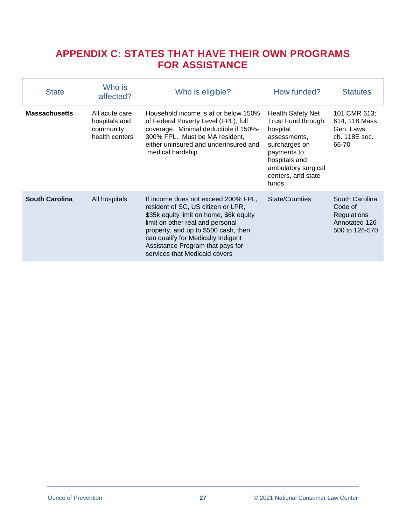### <span id="page-26-0"></span>**APPENDIX C: STATES THAT HAVE THEIR OWN PROGRAMS FOR ASSISTANCE**

<span id="page-26-1"></span>

| <b>State</b>          | Who is<br>affected?                                            | Who is eligible?                                                                                                                                                                                                                                                                                            | How funded?                                                                                                                                                                       | <b>Statutes</b>                                                                     |
|-----------------------|----------------------------------------------------------------|-------------------------------------------------------------------------------------------------------------------------------------------------------------------------------------------------------------------------------------------------------------------------------------------------------------|-----------------------------------------------------------------------------------------------------------------------------------------------------------------------------------|-------------------------------------------------------------------------------------|
| <b>Massachusetts</b>  | All acute care<br>hospitals and<br>community<br>health centers | Household income is at or below 150%<br>of Federal Poverty Level (FPL), full<br>coverage. Minimal deductible if 150%-<br>300% FPL. Must be MA resident,<br>either uninsured and underinsured and<br>medical hardship.                                                                                       | <b>Health Safety Net</b><br>Trust Fund through<br>hospital<br>assessments,<br>surcharges on<br>payments to<br>hospitals and<br>ambulatory surgical<br>centers, and state<br>funds | 101 CMR 613;<br>614, 118 Mass.<br>Gen. Laws<br>ch. 118E sec.<br>66-70               |
| <b>South Carolina</b> | All hospitals                                                  | If income does not exceed 200% FPL,<br>resident of SC, US citizen or LPR,<br>\$35k equity limit on home, \$6k equity<br>limit on other real and personal<br>property, and up to \$500 cash, then<br>can qualify for Medically Indigent<br>Assistance Program that pays for<br>services that Medicaid covers | State/Counties                                                                                                                                                                    | South Carolina<br>Code of<br><b>Regulations</b><br>Annotated 126-<br>500 to 126-570 |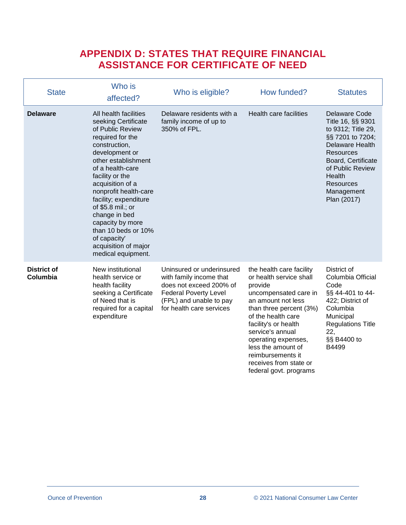### <span id="page-27-0"></span>**APPENDIX D: STATES THAT REQUIRE FINANCIAL ASSISTANCE FOR CERTIFICATE OF NEED**

| <b>State</b>                   | Who is<br>affected?                                                                                                                                                                                                                                                                                                                                                                                         | Who is eligible?                                                                                                                                                       | How funded?                                                                                                                                                                                                                                                                                                                      | <b>Statutes</b>                                                                                                                                                                                                                 |
|--------------------------------|-------------------------------------------------------------------------------------------------------------------------------------------------------------------------------------------------------------------------------------------------------------------------------------------------------------------------------------------------------------------------------------------------------------|------------------------------------------------------------------------------------------------------------------------------------------------------------------------|----------------------------------------------------------------------------------------------------------------------------------------------------------------------------------------------------------------------------------------------------------------------------------------------------------------------------------|---------------------------------------------------------------------------------------------------------------------------------------------------------------------------------------------------------------------------------|
| <b>Delaware</b>                | All health facilities<br>seeking Certificate<br>of Public Review<br>required for the<br>construction,<br>development or<br>other establishment<br>of a health-care<br>facility or the<br>acquisition of a<br>nonprofit health-care<br>facility; expenditure<br>of $$5.8$ mil.; or<br>change in bed<br>capacity by more<br>than 10 beds or 10%<br>of capacity'<br>acquisition of major<br>medical equipment. | Delaware residents with a<br>family income of up to<br>350% of FPL.                                                                                                    | Health care facilities                                                                                                                                                                                                                                                                                                           | Delaware Code<br>Title 16, §§ 9301<br>to 9312; Title 29,<br>§§ 7201 to 7204;<br><b>Delaware Health</b><br><b>Resources</b><br>Board, Certificate<br>of Public Review<br>Health<br><b>Resources</b><br>Management<br>Plan (2017) |
| <b>District of</b><br>Columbia | New institutional<br>health service or<br>health facility<br>seeking a Certificate<br>of Need that is<br>required for a capital<br>expenditure                                                                                                                                                                                                                                                              | Uninsured or underinsured<br>with family income that<br>does not exceed 200% of<br><b>Federal Poverty Level</b><br>(FPL) and unable to pay<br>for health care services | the health care facility<br>or health service shall<br>provide<br>uncompensated care in<br>an amount not less<br>than three percent (3%)<br>of the health care<br>facility's or health<br>service's annual<br>operating expenses,<br>less the amount of<br>reimbursements it<br>receives from state or<br>federal govt. programs | District of<br>Columbia Official<br>Code<br>§§ 44-401 to 44-<br>422; District of<br>Columbia<br>Municipal<br><b>Regulations Title</b><br>22,<br>§§ B4400 to<br>B4499                                                            |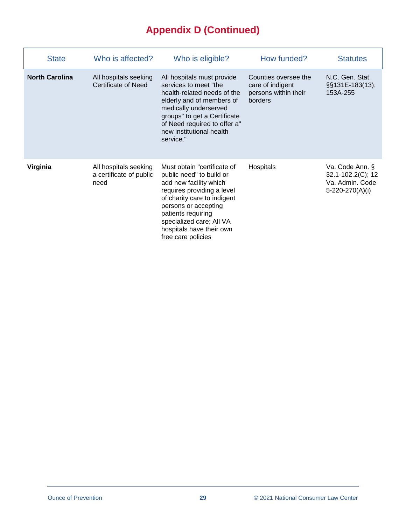# **Appendix D (Continued)**

| <b>State</b>          | Who is affected?                                         | Who is eligible?                                                                                                                                                                                                                                                           | How funded?                                                                 | <b>Statutes</b>                                                            |
|-----------------------|----------------------------------------------------------|----------------------------------------------------------------------------------------------------------------------------------------------------------------------------------------------------------------------------------------------------------------------------|-----------------------------------------------------------------------------|----------------------------------------------------------------------------|
| <b>North Carolina</b> | All hospitals seeking<br>Certificate of Need             | All hospitals must provide<br>services to meet "the<br>health-related needs of the<br>elderly and of members of<br>medically underserved<br>groups" to get a Certificate<br>of Need required to offer a"<br>new institutional health<br>service."                          | Counties oversee the<br>care of indigent<br>persons within their<br>borders | N.C. Gen. Stat.<br>§§131E-183(13);<br>153A-255                             |
| Virginia              | All hospitals seeking<br>a certificate of public<br>need | Must obtain "certificate of<br>public need" to build or<br>add new facility which<br>requires providing a level<br>of charity care to indigent<br>persons or accepting<br>patients requiring<br>specialized care; All VA<br>hospitals have their own<br>free care policies | Hospitals                                                                   | Va. Code Ann. §<br>32.1-102.2(C); 12<br>Va. Admin. Code<br>5-220-270(A)(i) |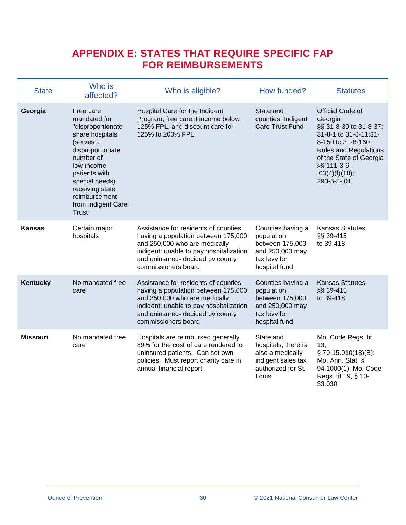### <span id="page-29-0"></span>**APPENDIX E: STATES THAT REQUIRE SPECIFIC FAP FOR REIMBURSEMENTS**

| <b>State</b>    | Who is<br>affected?                                                                                                                                                                                                                         | Who is eligible?                                                                                                                                                                                                   | How funded?                                                                                               | <b>Statutes</b>                                                                                                                                                                                                 |
|-----------------|---------------------------------------------------------------------------------------------------------------------------------------------------------------------------------------------------------------------------------------------|--------------------------------------------------------------------------------------------------------------------------------------------------------------------------------------------------------------------|-----------------------------------------------------------------------------------------------------------|-----------------------------------------------------------------------------------------------------------------------------------------------------------------------------------------------------------------|
| Georgia         | Free care<br>mandated for<br>"disproportionate<br>share hospitals"<br>(serves a<br>disproportionate<br>number of<br>low-income<br>patients with<br>special needs)<br>receiving state<br>reimbursement<br>from Indigent Care<br><b>Trust</b> | Hospital Care for the Indigent<br>Program, free care if income below<br>125% FPL, and discount care for<br>125% to 200% FPL                                                                                        | State and<br>counties; Indigent<br><b>Care Trust Fund</b>                                                 | Official Code of<br>Georgia<br>§§ 31-8-30 to 31-8-37;<br>31-8-1 to 31-8-11;31-<br>8-150 to 31-8-160;<br><b>Rules and Regulations</b><br>of the State of Georgia<br>§§ 111-3-6-<br>.03(4)(f)(10);<br>290-5-5-.01 |
| <b>Kansas</b>   | Certain major<br>hospitals                                                                                                                                                                                                                  | Assistance for residents of counties<br>having a population between 175,000<br>and 250,000 who are medically<br>indigent: unable to pay hospitalization<br>and uninsured- decided by county<br>commissioners board | Counties having a<br>population<br>between 175,000<br>and 250,000 may<br>tax levy for<br>hospital fund    | <b>Kansas Statutes</b><br>§§ 39-415<br>to 39-418                                                                                                                                                                |
| <b>Kentucky</b> | No mandated free<br>care                                                                                                                                                                                                                    | Assistance for residents of counties<br>having a population between 175,000<br>and 250,000 who are medically<br>indigent: unable to pay hospitalization<br>and uninsured- decided by county<br>commissioners board | Counties having a<br>population<br>between 175,000<br>and 250,000 may<br>tax levy for<br>hospital fund    | <b>Kansas Statutes</b><br>§§ 39-415<br>to 39-418.                                                                                                                                                               |
| <b>Missouri</b> | No mandated free<br>care                                                                                                                                                                                                                    | Hospitals are reimbursed generally<br>89% for the cost of care rendered to<br>uninsured patients. Can set own<br>policies. Must report charity care in<br>annual financial report                                  | State and<br>hospitals; there is<br>also a medically<br>indigent sales tax<br>authorized for St.<br>Louis | Mo. Code Regs. tit.<br>13,<br>§70-15.010(18)(B);<br>Mo. Ann. Stat. §<br>94.1000(1); Mo. Code<br>Regs. tit.19, § 10-<br>33.030                                                                                   |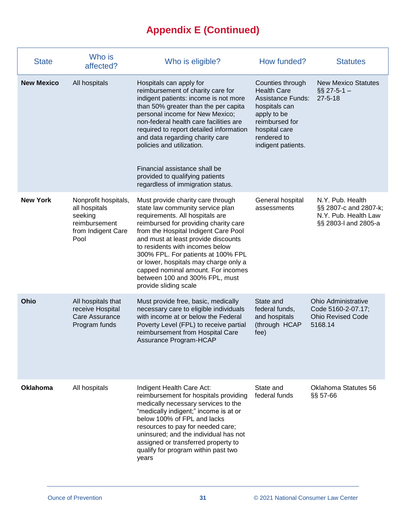# **Appendix E (Continued)**

| <b>State</b>      | Who is<br>affected?                                                                             | Who is eligible?                                                                                                                                                                                                                                                                                                                                                                                                                                    | How funded?                                                                                                                                                                | <b>Statutes</b>                                                                           |
|-------------------|-------------------------------------------------------------------------------------------------|-----------------------------------------------------------------------------------------------------------------------------------------------------------------------------------------------------------------------------------------------------------------------------------------------------------------------------------------------------------------------------------------------------------------------------------------------------|----------------------------------------------------------------------------------------------------------------------------------------------------------------------------|-------------------------------------------------------------------------------------------|
| <b>New Mexico</b> | All hospitals                                                                                   | Hospitals can apply for<br>reimbursement of charity care for<br>indigent patients: income is not more<br>than 50% greater than the per capita<br>personal income for New Mexico;<br>non-federal health care facilities are<br>required to report detailed information<br>and data regarding charity care<br>policies and utilization.<br>Financial assistance shall be<br>provided to qualifying patients<br>regardless of immigration status.      | Counties through<br><b>Health Care</b><br><b>Assistance Funds:</b><br>hospitals can<br>apply to be<br>reimbursed for<br>hospital care<br>rendered to<br>indigent patients. | <b>New Mexico Statutes</b><br>$\S$ 27-5-1 -<br>$27 - 5 - 18$                              |
| <b>New York</b>   | Nonprofit hospitals,<br>all hospitals<br>seeking<br>reimbursement<br>from Indigent Care<br>Pool | Must provide charity care through<br>state law community service plan<br>requirements. All hospitals are<br>reimbursed for providing charity care<br>from the Hospital Indigent Care Pool<br>and must at least provide discounts<br>to residents with incomes below<br>300% FPL. For patients at 100% FPL<br>or lower, hospitals may charge only a<br>capped nominal amount. For incomes<br>between 100 and 300% FPL, must<br>provide sliding scale | General hospital<br>assessments                                                                                                                                            | N.Y. Pub. Health<br>§§ 2807-c and 2807-k;<br>N.Y. Pub. Health Law<br>§§ 2803-I and 2805-a |
| Ohio              | All hospitals that<br>receive Hospital<br>Care Assurance<br>Program funds                       | Must provide free, basic, medically<br>necessary care to eligible individuals<br>with income at or below the Federal<br>Poverty Level (FPL) to receive partial<br>reimbursement from Hospital Care<br>Assurance Program-HCAP                                                                                                                                                                                                                        | State and<br>federal funds,<br>and hospitals<br>(through HCAP<br>fee)                                                                                                      | <b>Ohio Administrative</b><br>Code 5160-2-07.17;<br><b>Ohio Revised Code</b><br>5168.14   |
| Oklahoma          | All hospitals                                                                                   | Indigent Health Care Act:<br>reimbursement for hospitals providing<br>medically necessary services to the<br>"medically indigent;" income is at or<br>below 100% of FPL and lacks<br>resources to pay for needed care;<br>uninsured; and the individual has not<br>assigned or transferred property to<br>qualify for program within past two<br>years                                                                                              | State and<br>federal funds                                                                                                                                                 | Oklahoma Statutes 56<br>§§ 57-66                                                          |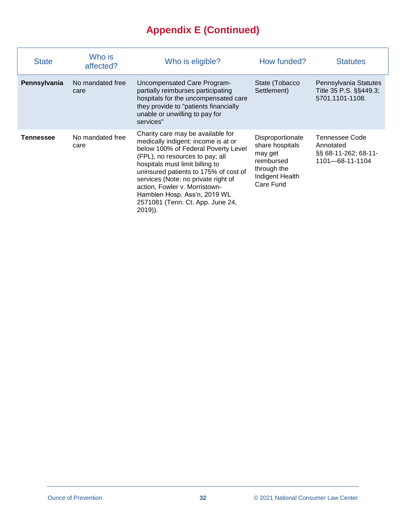# **Appendix E (Continued)**

| <b>State</b> | Who is<br>affected?      | Who is eligible?                                                                                                                                                                                                                                                                                                                                                                        | How funded?                                                                                                 | <b>Statutes</b>                                                        |
|--------------|--------------------------|-----------------------------------------------------------------------------------------------------------------------------------------------------------------------------------------------------------------------------------------------------------------------------------------------------------------------------------------------------------------------------------------|-------------------------------------------------------------------------------------------------------------|------------------------------------------------------------------------|
| Pennsylvania | No mandated free<br>care | Uncompensated Care Program-<br>partially reimburses participating<br>hospitals for the uncompensated care<br>they provide to "patients financially<br>unable or unwilling to pay for<br>services"                                                                                                                                                                                       | State (Tobacco<br>Settlement)                                                                               | Pennsylvania Statutes<br>Title 35 P.S. §§449.3;<br>5701.1101-1108.     |
| Tennessee    | No mandated free<br>care | Charity care may be available for<br>medically indigent: income is at or<br>below 100% of Federal Poverty Level<br>(FPL), no resources to pay; all<br>hospitals must limit billing to<br>uninsured patients to 175% of cost of<br>services (Note: no private right of<br>action, Fowler v. Morristown-<br>Hamblen Hosp. Ass'n, 2019 WL<br>2571081 (Tenn. Ct. App. June 24,<br>$2019$ ). | Disproportionate<br>share hospitals<br>may get<br>reimbursed<br>through the<br>Indigent Health<br>Care Fund | Tennessee Code<br>Annotated<br>§§ 68-11-262; 68-11-<br>1101-68-11-1104 |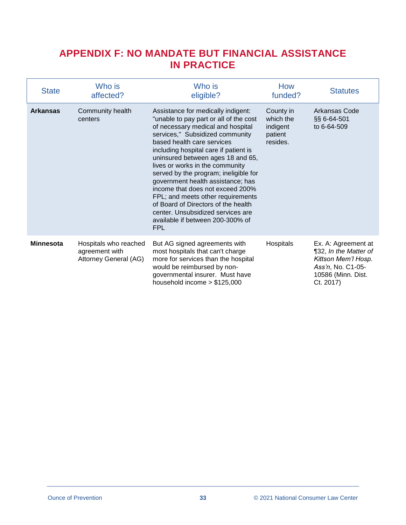### <span id="page-32-0"></span>**APPENDIX F: NO MANDATE BUT FINANCIAL ASSISTANCE IN PRACTICE**

| <b>State</b>     | Who is<br>affected?                                              | Who is<br>eligible?                                                                                                                                                                                                                                                                                                                                                                                                                                                                                                                                                                      | How<br>funded?                                            | <b>Statutes</b>                                                                                                             |
|------------------|------------------------------------------------------------------|------------------------------------------------------------------------------------------------------------------------------------------------------------------------------------------------------------------------------------------------------------------------------------------------------------------------------------------------------------------------------------------------------------------------------------------------------------------------------------------------------------------------------------------------------------------------------------------|-----------------------------------------------------------|-----------------------------------------------------------------------------------------------------------------------------|
| <b>Arkansas</b>  | Community health<br>centers                                      | Assistance for medically indigent:<br>"unable to pay part or all of the cost<br>of necessary medical and hospital<br>services," Subsidized community<br>based health care services<br>including hospital care if patient is<br>uninsured between ages 18 and 65,<br>lives or works in the community<br>served by the program; ineligible for<br>government health assistance; has<br>income that does not exceed 200%<br>FPL; and meets other requirements<br>of Board of Directors of the health<br>center. Unsubsidized services are<br>available if between 200-300% of<br><b>FPL</b> | County in<br>which the<br>indigent<br>patient<br>resides. | Arkansas Code<br>§§ 6-64-501<br>to 6-64-509                                                                                 |
| <b>Minnesota</b> | Hospitals who reached<br>agreement with<br>Attorney General (AG) | But AG signed agreements with<br>most hospitals that can't charge<br>more for services than the hospital<br>would be reimbursed by non-<br>governmental insurer. Must have<br>household income $> $125,000$                                                                                                                                                                                                                                                                                                                                                                              | Hospitals                                                 | Ex. A: Agreement at<br>¶32, In the Matter of<br>Kittson Mem'l Hosp.<br>Ass'n, No. C1-05-<br>10586 (Minn. Dist.<br>Ct. 2017) |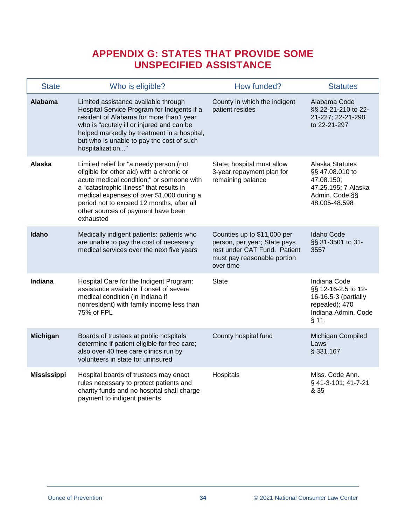### **APPENDIX G: STATES THAT PROVIDE SOME UNSPECIFIED ASSISTANCE**

<span id="page-33-0"></span>

| <b>State</b>       | Who is eligible?                                                                                                                                                                                                                                                                                                           | How funded?                                                                                                                             | <b>Statutes</b>                                                                                                 |
|--------------------|----------------------------------------------------------------------------------------------------------------------------------------------------------------------------------------------------------------------------------------------------------------------------------------------------------------------------|-----------------------------------------------------------------------------------------------------------------------------------------|-----------------------------------------------------------------------------------------------------------------|
| <b>Alabama</b>     | Limited assistance available through<br>Hospital Service Program for Indigents if a<br>resident of Alabama for more than1 year<br>who is "acutely ill or injured and can be<br>helped markedly by treatment in a hospital,<br>but who is unable to pay the cost of such<br>hospitalization"                                | County in which the indigent<br>patient resides                                                                                         | Alabama Code<br>§§ 22-21-210 to 22-<br>21-227; 22-21-290<br>to 22-21-297                                        |
| Alaska             | Limited relief for "a needy person (not<br>eligible for other aid) with a chronic or<br>acute medical condition;" or someone with<br>a "catastrophic illness" that results in<br>medical expenses of over \$1,000 during a<br>period not to exceed 12 months, after all<br>other sources of payment have been<br>exhausted | State; hospital must allow<br>3-year repayment plan for<br>remaining balance                                                            | Alaska Statutes<br>§§ 47.08.010 to<br>47.08.150;<br>47.25.195; 7 Alaska<br>Admin. Code §§<br>48.005-48.598      |
| Idaho              | Medically indigent patients: patients who<br>are unable to pay the cost of necessary<br>medical services over the next five years                                                                                                                                                                                          | Counties up to \$11,000 per<br>person, per year; State pays<br>rest under CAT Fund. Patient<br>must pay reasonable portion<br>over time | Idaho Code<br>§§ 31-3501 to 31-<br>3557                                                                         |
| Indiana            | Hospital Care for the Indigent Program:<br>assistance available if onset of severe<br>medical condition (in Indiana if<br>nonresident) with family income less than<br>75% of FPL                                                                                                                                          | <b>State</b>                                                                                                                            | Indiana Code<br>§§ 12-16-2.5 to 12-<br>16-16.5-3 (partially<br>repealed); 470<br>Indiana Admin. Code<br>$§$ 11. |
| <b>Michigan</b>    | Boards of trustees at public hospitals<br>determine if patient eligible for free care;<br>also over 40 free care clinics run by<br>volunteers in state for uninsured                                                                                                                                                       | County hospital fund                                                                                                                    | Michigan Compiled<br>Laws<br>§ 331.167                                                                          |
| <b>Mississippi</b> | Hospital boards of trustees may enact<br>rules necessary to protect patients and<br>charity funds and no hospital shall charge<br>payment to indigent patients                                                                                                                                                             | Hospitals                                                                                                                               | Miss. Code Ann.<br>§ 41-3-101; 41-7-21<br>& 35                                                                  |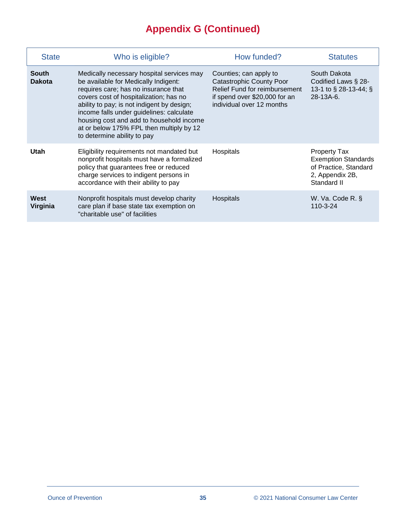# **Appendix G (Continued)**

| <b>State</b>                  | Who is eligible?                                                                                                                                                                                                                                                                                                                                                                     | How funded?                                                                                                                                                     | <b>Statutes</b>                                                                                              |  |
|-------------------------------|--------------------------------------------------------------------------------------------------------------------------------------------------------------------------------------------------------------------------------------------------------------------------------------------------------------------------------------------------------------------------------------|-----------------------------------------------------------------------------------------------------------------------------------------------------------------|--------------------------------------------------------------------------------------------------------------|--|
| <b>South</b><br><b>Dakota</b> | Medically necessary hospital services may<br>be available for Medically Indigent:<br>requires care; has no insurance that<br>covers cost of hospitalization; has no<br>ability to pay; is not indigent by design;<br>income falls under guidelines: calculate<br>housing cost and add to household income<br>at or below 175% FPL then multiply by 12<br>to determine ability to pay | Counties; can apply to<br><b>Catastrophic County Poor</b><br><b>Relief Fund for reimbursement</b><br>if spend over \$20,000 for an<br>individual over 12 months | South Dakota<br>Codified Laws § 28-<br>13-1 to § 28-13-44; §<br>28-13A-6.                                    |  |
| Utah                          | Eligibility requirements not mandated but<br>nonprofit hospitals must have a formalized<br>policy that guarantees free or reduced<br>charge services to indigent persons in<br>accordance with their ability to pay                                                                                                                                                                  | Hospitals                                                                                                                                                       | <b>Property Tax</b><br><b>Exemption Standards</b><br>of Practice, Standard<br>2, Appendix 2B,<br>Standard II |  |
| West<br>Virginia              | Nonprofit hospitals must develop charity<br>care plan if base state tax exemption on<br>"charitable use" of facilities                                                                                                                                                                                                                                                               | <b>Hospitals</b>                                                                                                                                                | W. Va. Code R. §<br>110-3-24                                                                                 |  |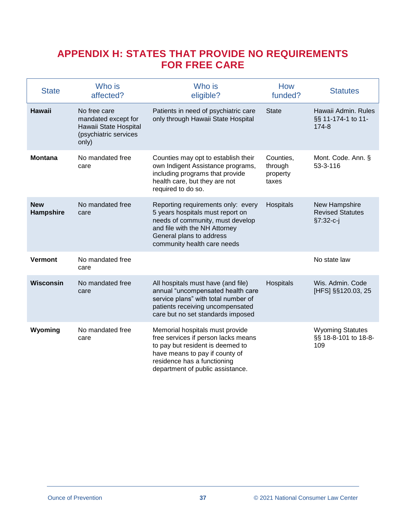### <span id="page-35-0"></span>**APPENDIX H: STATES THAT PROVIDE NO REQUIREMENTS FOR FREE CARE**

| <b>State</b>            | Who is<br>affected?                                                                            | Who is<br>eligible?                                                                                                                                                                                             | How<br>funded?                            | <b>Statutes</b>                                         |  |
|-------------------------|------------------------------------------------------------------------------------------------|-----------------------------------------------------------------------------------------------------------------------------------------------------------------------------------------------------------------|-------------------------------------------|---------------------------------------------------------|--|
| Hawaii                  | No free care<br>mandated except for<br>Hawaii State Hospital<br>(psychiatric services<br>only) | Patients in need of psychiatric care<br>only through Hawaii State Hospital                                                                                                                                      | <b>State</b>                              | Hawaii Admin, Rules<br>§§ 11-174-1 to 11-<br>174-8      |  |
| <b>Montana</b>          | No mandated free<br>care                                                                       | Counties may opt to establish their<br>own Indigent Assistance programs,<br>including programs that provide<br>health care, but they are not<br>required to do so.                                              | Counties,<br>through<br>property<br>taxes | Mont. Code. Ann. §<br>53-3-116                          |  |
| <b>New</b><br>Hampshire | No mandated free<br>care                                                                       | Reporting requirements only: every<br>5 years hospitals must report on<br>needs of community, must develop<br>and file with the NH Attorney<br>General plans to address<br>community health care needs          | Hospitals                                 | New Hampshire<br><b>Revised Statutes</b><br>$§7:32-c-j$ |  |
| <b>Vermont</b>          | No mandated free<br>care                                                                       |                                                                                                                                                                                                                 |                                           | No state law                                            |  |
| <b>Wisconsin</b>        | No mandated free<br>care                                                                       | All hospitals must have (and file)<br>annual "uncompensated health care<br>service plans" with total number of<br>patients receiving uncompensated<br>care but no set standards imposed                         | Hospitals                                 | Wis. Admin. Code<br>[HFS] §§120.03, 25                  |  |
| Wyoming                 | No mandated free<br>care                                                                       | Memorial hospitals must provide<br>free services if person lacks means<br>to pay but resident is deemed to<br>have means to pay if county of<br>residence has a functioning<br>department of public assistance. |                                           | <b>Wyoming Statutes</b><br>§§ 18-8-101 to 18-8-<br>109  |  |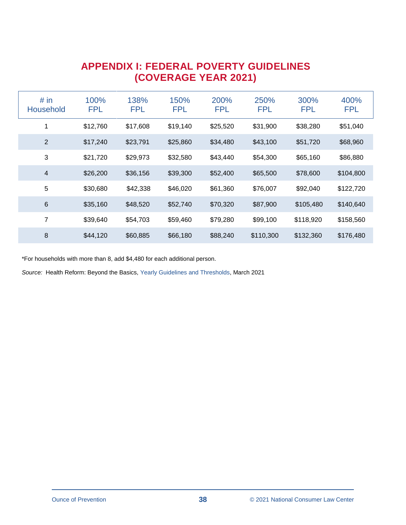### **APPENDIX I: FEDERAL POVERTY GUIDELINES (COVERAGE YEAR 2021)**

<span id="page-36-0"></span>

| # in<br><b>Household</b> | 100%<br><b>FPL</b> | 138%<br><b>FPL</b> | 150%<br><b>FPL</b> | 200%<br><b>FPL</b> | 250%<br><b>FPL</b> | 300%<br><b>FPL</b> | 400%<br><b>FPL</b> |
|--------------------------|--------------------|--------------------|--------------------|--------------------|--------------------|--------------------|--------------------|
| 1                        | \$12,760           | \$17,608           | \$19,140           | \$25,520           | \$31,900           | \$38,280           | \$51,040           |
| $\overline{2}$           | \$17,240           | \$23,791           | \$25,860           | \$34,480           | \$43,100           | \$51,720           | \$68,960           |
| 3                        | \$21,720           | \$29,973           | \$32,580           | \$43,440           | \$54,300           | \$65,160           | \$86,880           |
| $\overline{4}$           | \$26,200           | \$36,156           | \$39,300           | \$52,400           | \$65,500           | \$78,600           | \$104,800          |
| 5                        | \$30,680           | \$42,338           | \$46,020           | \$61,360           | \$76,007           | \$92,040           | \$122,720          |
| $6\phantom{1}6$          | \$35,160           | \$48,520           | \$52,740           | \$70,320           | \$87,900           | \$105,480          | \$140,640          |
| 7                        | \$39,640           | \$54,703           | \$59,460           | \$79,280           | \$99,100           | \$118,920          | \$158,560          |
| 8                        | \$44,120           | \$60,885           | \$66,180           | \$88,240           | \$110,300          | \$132,360          | \$176,480          |

\*For households with more than 8, add \$4,480 for each additional person.

*Source:* Health Reform: Beyond the Basics, [Yearly Guidelines and Thresholds,](http://www.healthreformbeyondthebasics.org/wp-content/uploads/2021/03/REFERENCE-GUIDE_Yearly-Guideline-and-Thresholds_CoverageYear2021-ARPA-3.pdf) March 2021